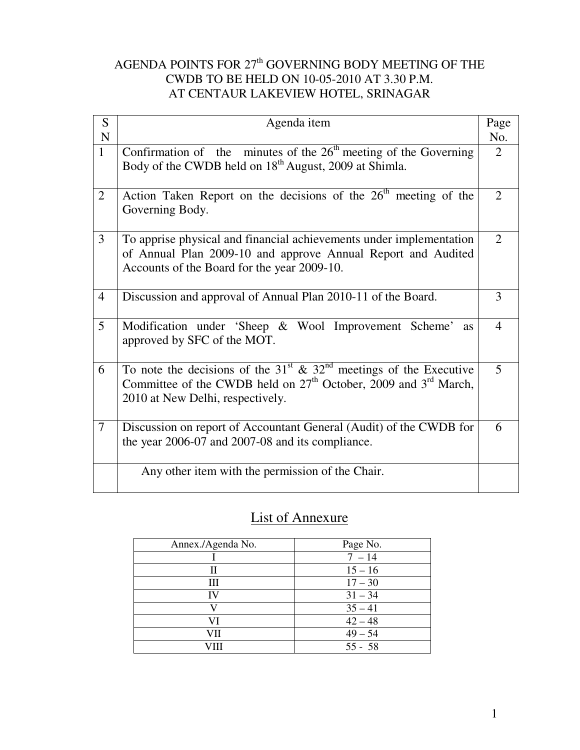# AGENDA POINTS FOR  $27<sup>th</sup>$  GOVERNING BODY MEETING OF THE CWDB TO BE HELD ON 10-05-2010 AT 3.30 P.M. AT CENTAUR LAKEVIEW HOTEL, SRINAGAR

| S              | Agenda item                                                                                                                                                                                                         | Page           |
|----------------|---------------------------------------------------------------------------------------------------------------------------------------------------------------------------------------------------------------------|----------------|
| ${\bf N}$      |                                                                                                                                                                                                                     | No.            |
| $\mathbf{1}$   | Confirmation of the minutes of the $2\overline{6}^{th}$ meeting of the Governing<br>Body of the CWDB held on 18 <sup>th</sup> August, 2009 at Shimla.                                                               | $\overline{2}$ |
| $\overline{2}$ | Action Taken Report on the decisions of the $26th$ meeting of the<br>Governing Body.                                                                                                                                | $\overline{2}$ |
| $\overline{3}$ | To apprise physical and financial achievements under implementation<br>of Annual Plan 2009-10 and approve Annual Report and Audited<br>Accounts of the Board for the year 2009-10.                                  | $\overline{2}$ |
| $\overline{4}$ | Discussion and approval of Annual Plan 2010-11 of the Board.                                                                                                                                                        | 3              |
| 5              | Modification under 'Sheep & Wool Improvement Scheme'<br><b>as</b><br>approved by SFC of the MOT.                                                                                                                    | $\overline{4}$ |
| 6              | To note the decisions of the 31 <sup>st</sup> $\overline{\&}$ 32 <sup>nd</sup> meetings of the Executive<br>Committee of the CWDB held on $27th$ October, 2009 and $3rd$ March,<br>2010 at New Delhi, respectively. | 5              |
| $\overline{7}$ | Discussion on report of Accountant General (Audit) of the CWDB for<br>the year 2006-07 and 2007-08 and its compliance.                                                                                              | 6              |
|                | Any other item with the permission of the Chair.                                                                                                                                                                    |                |

# List of Annexure

| Annex./Agenda No. | Page No.  |
|-------------------|-----------|
|                   | $7 - 14$  |
| П                 | $15 - 16$ |
| Ш                 | $17 - 30$ |
| IV                | $31 - 34$ |
|                   | $35 - 41$ |
| VI                | $42 - 48$ |
| VH                | $49 - 54$ |
|                   | $55 - 58$ |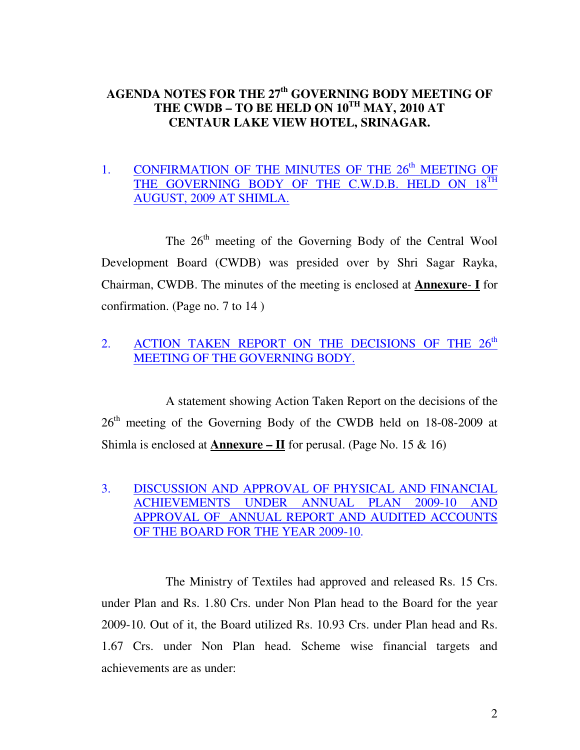# **AGENDA NOTES FOR THE 27th GOVERNING BODY MEETING OF THE CWDB – TO BE HELD ON 10TH MAY, 2010 AT CENTAUR LAKE VIEW HOTEL, SRINAGAR.**

# 1. CONFIRMATION OF THE MINUTES OF THE  $26<sup>th</sup>$  MEETING OF THE GOVERNING BODY OF THE C.W.D.B. HELD ON 18<sup>TH</sup> AUGUST, 2009 AT SHIMLA.

The 26<sup>th</sup> meeting of the Governing Body of the Central Wool Development Board (CWDB) was presided over by Shri Sagar Rayka, Chairman, CWDB. The minutes of the meeting is enclosed at **Annexure**- **I** for confirmation. (Page no. 7 to 14 )

# 2. ACTION TAKEN REPORT ON THE DECISIONS OF THE 26<sup>th</sup> MEETING OF THE GOVERNING BODY.

 A statement showing Action Taken Report on the decisions of the 26th meeting of the Governing Body of the CWDB held on 18-08-2009 at Shimla is enclosed at **Annexure – II** for perusal. (Page No. 15 & 16)

3. DISCUSSION AND APPROVAL OF PHYSICAL AND FINANCIAL ACHIEVEMENTS UNDER ANNUAL PLAN 2009-10 AND APPROVAL OF ANNUAL REPORT AND AUDITED ACCOUNTS OF THE BOARD FOR THE YEAR 2009-10.

 The Ministry of Textiles had approved and released Rs. 15 Crs. under Plan and Rs. 1.80 Crs. under Non Plan head to the Board for the year 2009-10. Out of it, the Board utilized Rs. 10.93 Crs. under Plan head and Rs. 1.67 Crs. under Non Plan head. Scheme wise financial targets and achievements are as under: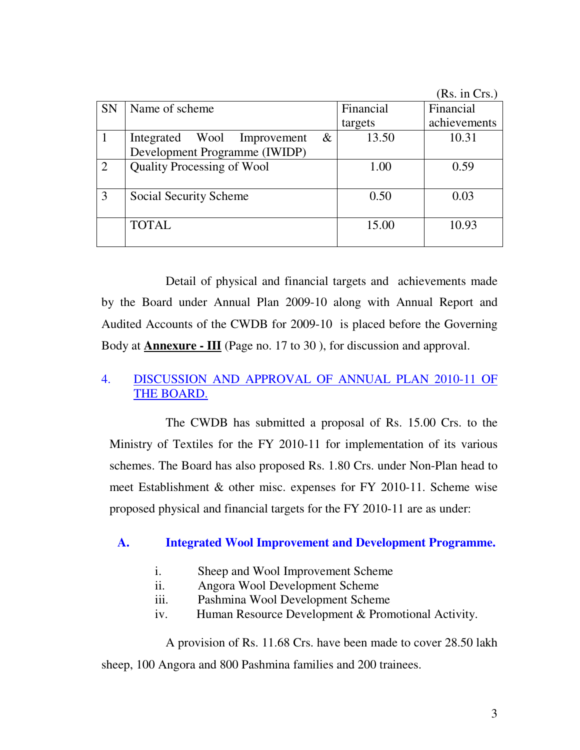|               |                                     |           | (Rs. in Crs.) |
|---------------|-------------------------------------|-----------|---------------|
| <b>SN</b>     | Name of scheme                      | Financial | Financial     |
|               |                                     | targets   | achievements  |
|               | $\&$<br>Integrated Wool Improvement | 13.50     | 10.31         |
|               | Development Programme (IWIDP)       |           |               |
| $\mathcal{D}$ | <b>Quality Processing of Wool</b>   | 1.00      | 0.59          |
|               |                                     |           |               |
| 3             | Social Security Scheme              | 0.50      | 0.03          |
|               |                                     |           |               |
|               | <b>TOTAL</b>                        | 15.00     | 10.93         |
|               |                                     |           |               |

 Detail of physical and financial targets and achievements made by the Board under Annual Plan 2009-10 along with Annual Report and Audited Accounts of the CWDB for 2009-10 is placed before the Governing Body at **Annexure - III** (Page no. 17 to 30 ), for discussion and approval.

# 4. DISCUSSION AND APPROVAL OF ANNUAL PLAN 2010-11 OF THE BOARD.

 The CWDB has submitted a proposal of Rs. 15.00 Crs. to the Ministry of Textiles for the FY 2010-11 for implementation of its various schemes. The Board has also proposed Rs. 1.80 Crs. under Non-Plan head to meet Establishment & other misc. expenses for FY 2010-11. Scheme wise proposed physical and financial targets for the FY 2010-11 are as under:

# **A. Integrated Wool Improvement and Development Programme.**

- i. Sheep and Wool Improvement Scheme
- ii. Angora Wool Development Scheme
- iii. Pashmina Wool Development Scheme
- iv. Human Resource Development & Promotional Activity.

 A provision of Rs. 11.68 Crs. have been made to cover 28.50 lakh sheep, 100 Angora and 800 Pashmina families and 200 trainees.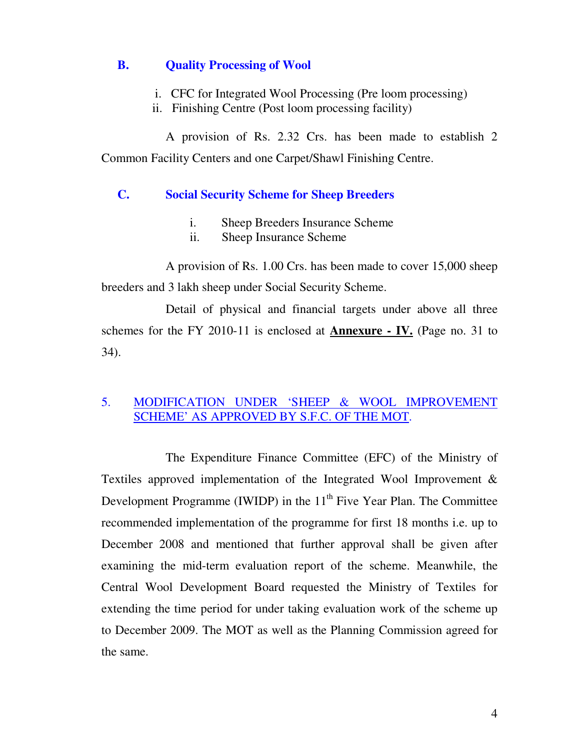## **B. Quality Processing of Wool**

- i. CFC for Integrated Wool Processing (Pre loom processing)
- ii. Finishing Centre (Post loom processing facility)

 A provision of Rs. 2.32 Crs. has been made to establish 2 Common Facility Centers and one Carpet/Shawl Finishing Centre.

# **C. Social Security Scheme for Sheep Breeders**

- i. Sheep Breeders Insurance Scheme
- ii. Sheep Insurance Scheme

 A provision of Rs. 1.00 Crs. has been made to cover 15,000 sheep breeders and 3 lakh sheep under Social Security Scheme.

 Detail of physical and financial targets under above all three schemes for the FY 2010-11 is enclosed at **Annexure - IV.** (Page no. 31 to 34).

# 5. MODIFICATION UNDER 'SHEEP & WOOL IMPROVEMENT SCHEME' AS APPROVED BY S.F.C. OF THE MOT.

 The Expenditure Finance Committee (EFC) of the Ministry of Textiles approved implementation of the Integrated Wool Improvement & Development Programme (IWIDP) in the  $11<sup>th</sup>$  Five Year Plan. The Committee recommended implementation of the programme for first 18 months i.e. up to December 2008 and mentioned that further approval shall be given after examining the mid-term evaluation report of the scheme. Meanwhile, the Central Wool Development Board requested the Ministry of Textiles for extending the time period for under taking evaluation work of the scheme up to December 2009. The MOT as well as the Planning Commission agreed for the same.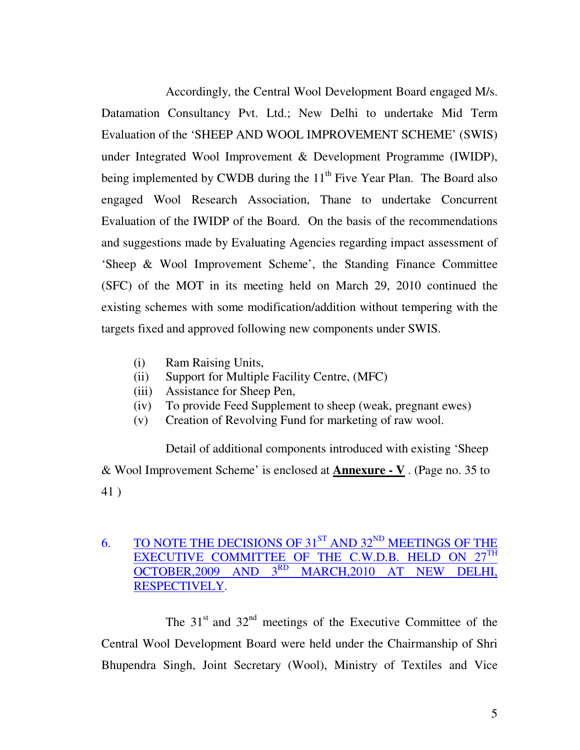Accordingly, the Central Wool Development Board engaged M/s. Datamation Consultancy Pvt. Ltd.; New Delhi to undertake Mid Term Evaluation of the 'SHEEP AND WOOL IMPROVEMENT SCHEME' (SWIS) under Integrated Wool Improvement & Development Programme (IWIDP), being implemented by CWDB during the  $11<sup>th</sup>$  Five Year Plan. The Board also engaged Wool Research Association, Thane to undertake Concurrent Evaluation of the IWIDP of the Board. On the basis of the recommendations and suggestions made by Evaluating Agencies regarding impact assessment of 'Sheep & Wool Improvement Scheme', the Standing Finance Committee (SFC) of the MOT in its meeting held on March 29, 2010 continued the existing schemes with some modification/addition without tempering with the targets fixed and approved following new components under SWIS.

- (i) Ram Raising Units,
- (ii) Support for Multiple Facility Centre, (MFC)
- (iii) Assistance for Sheep Pen,
- (iv) To provide Feed Supplement to sheep (weak, pregnant ewes)
- (v) Creation of Revolving Fund for marketing of raw wool.

 Detail of additional components introduced with existing 'Sheep & Wool Improvement Scheme' is enclosed at **Annexure - V** . (Page no. 35 to 41 )

# 6. TO NOTE THE DECISIONS OF  $31^{ST}$  AND  $32^{ND}$  MEETINGS OF THE EXECUTIVE COMMITTEE OF THE C.W.D.B. HELD ON  $27^{TH}$ EXECUTIVE COMMITTEE OF THE C.W.D.B. HELD ON OCTOBER,2009 AND  $3^{RD}$  MARCH,2010 AT NEW DI OCTOBER,  $2009$  AND  $3^{RD}$  MARCH,  $2010$  AT NEW DELHI, RESPECTIVELY.

The  $31<sup>st</sup>$  and  $32<sup>nd</sup>$  meetings of the Executive Committee of the Central Wool Development Board were held under the Chairmanship of Shri Bhupendra Singh, Joint Secretary (Wool), Ministry of Textiles and Vice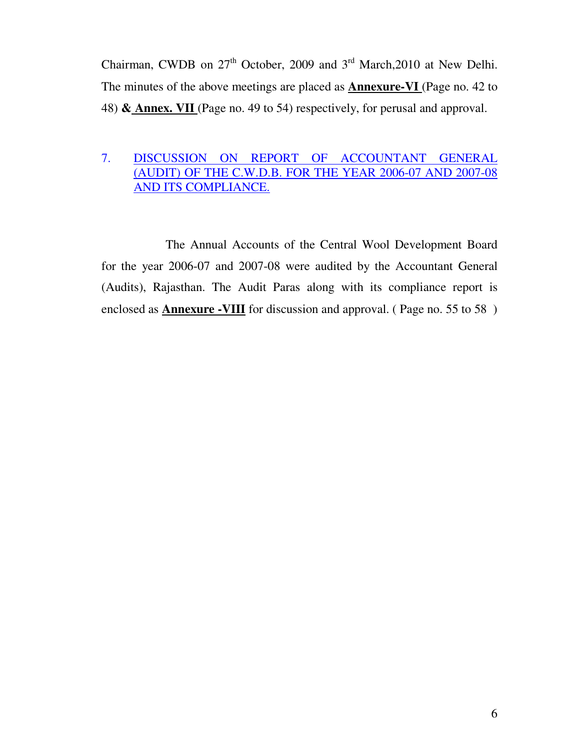Chairman, CWDB on  $27<sup>th</sup>$  October, 2009 and  $3<sup>rd</sup>$  March, 2010 at New Delhi. The minutes of the above meetings are placed as **Annexure-VI** (Page no. 42 to 48) **& Annex. VII** (Page no. 49 to 54) respectively, for perusal and approval.

# 7. DISCUSSION ON REPORT OF ACCOUNTANT GENERAL (AUDIT) OF THE C.W.D.B. FOR THE YEAR 2006-07 AND 2007-08 AND ITS COMPLIANCE.

 The Annual Accounts of the Central Wool Development Board for the year 2006-07 and 2007-08 were audited by the Accountant General (Audits), Rajasthan. The Audit Paras along with its compliance report is enclosed as **Annexure -VIII** for discussion and approval. (Page no. 55 to 58)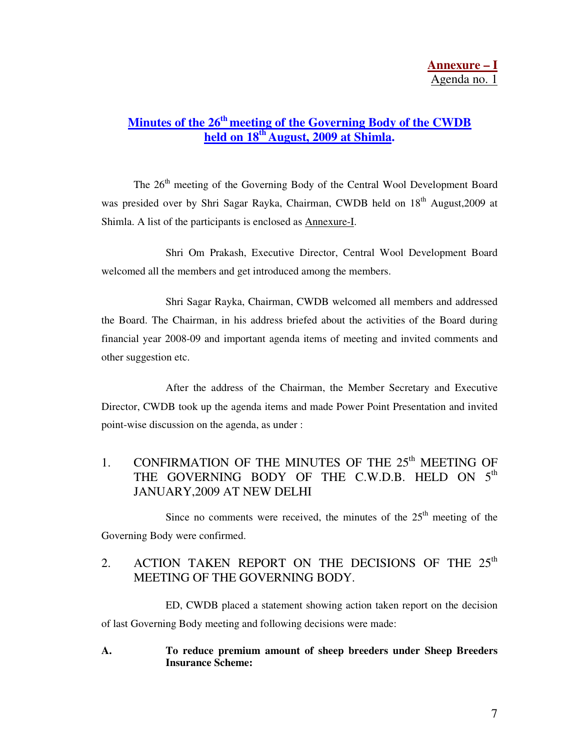# **Minutes of the 26th meeting of the Governing Body of the CWDB held on 18th August, 2009 at Shimla.**

The 26<sup>th</sup> meeting of the Governing Body of the Central Wool Development Board was presided over by Shri Sagar Rayka, Chairman, CWDB held on 18<sup>th</sup> August,2009 at Shimla. A list of the participants is enclosed as Annexure-I.

 Shri Om Prakash, Executive Director, Central Wool Development Board welcomed all the members and get introduced among the members.

 Shri Sagar Rayka, Chairman, CWDB welcomed all members and addressed the Board. The Chairman, in his address briefed about the activities of the Board during financial year 2008-09 and important agenda items of meeting and invited comments and other suggestion etc.

 After the address of the Chairman, the Member Secretary and Executive Director, CWDB took up the agenda items and made Power Point Presentation and invited point-wise discussion on the agenda, as under :

# 1. CONFIRMATION OF THE MINUTES OF THE  $25<sup>th</sup>$  MEETING OF THE GOVERNING BODY OF THE C.W.D.B. HELD ON 5<sup>th</sup> JANUARY,2009 AT NEW DELHI

Since no comments were received, the minutes of the  $25<sup>th</sup>$  meeting of the Governing Body were confirmed.

## 2. ACTION TAKEN REPORT ON THE DECISIONS OF THE  $25<sup>th</sup>$ MEETING OF THE GOVERNING BODY.

 ED, CWDB placed a statement showing action taken report on the decision of last Governing Body meeting and following decisions were made:

### **A. To reduce premium amount of sheep breeders under Sheep Breeders Insurance Scheme:**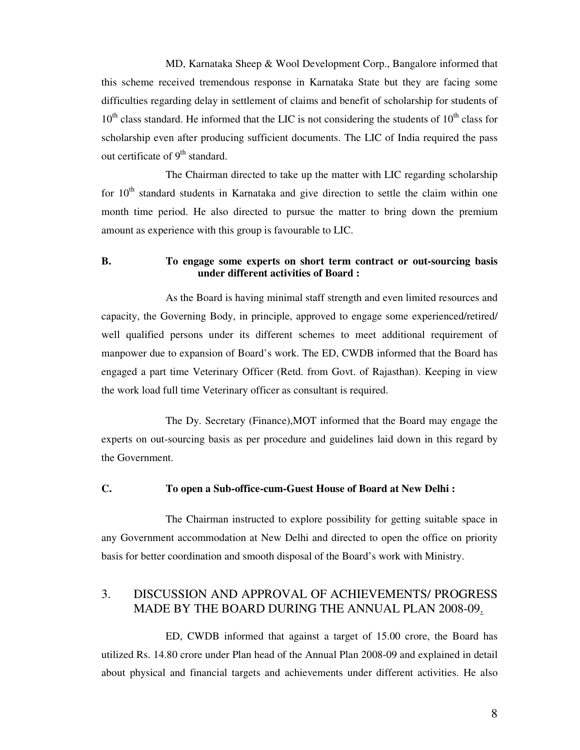MD, Karnataka Sheep & Wool Development Corp., Bangalore informed that this scheme received tremendous response in Karnataka State but they are facing some difficulties regarding delay in settlement of claims and benefit of scholarship for students of  $10<sup>th</sup>$  class standard. He informed that the LIC is not considering the students of  $10<sup>th</sup>$  class for scholarship even after producing sufficient documents. The LIC of India required the pass out certificate of  $9<sup>th</sup>$  standard.

 The Chairman directed to take up the matter with LIC regarding scholarship for  $10<sup>th</sup>$  standard students in Karnataka and give direction to settle the claim within one month time period. He also directed to pursue the matter to bring down the premium amount as experience with this group is favourable to LIC.

### **B. To engage some experts on short term contract or out-sourcing basis under different activities of Board :**

 As the Board is having minimal staff strength and even limited resources and capacity, the Governing Body, in principle, approved to engage some experienced/retired/ well qualified persons under its different schemes to meet additional requirement of manpower due to expansion of Board's work. The ED, CWDB informed that the Board has engaged a part time Veterinary Officer (Retd. from Govt. of Rajasthan). Keeping in view the work load full time Veterinary officer as consultant is required.

 The Dy. Secretary (Finance),MOT informed that the Board may engage the experts on out-sourcing basis as per procedure and guidelines laid down in this regard by the Government.

### **C. To open a Sub-office-cum-Guest House of Board at New Delhi :**

 The Chairman instructed to explore possibility for getting suitable space in any Government accommodation at New Delhi and directed to open the office on priority basis for better coordination and smooth disposal of the Board's work with Ministry.

## 3. DISCUSSION AND APPROVAL OF ACHIEVEMENTS/ PROGRESS MADE BY THE BOARD DURING THE ANNUAL PLAN 2008-09.

 ED, CWDB informed that against a target of 15.00 crore, the Board has utilized Rs. 14.80 crore under Plan head of the Annual Plan 2008-09 and explained in detail about physical and financial targets and achievements under different activities. He also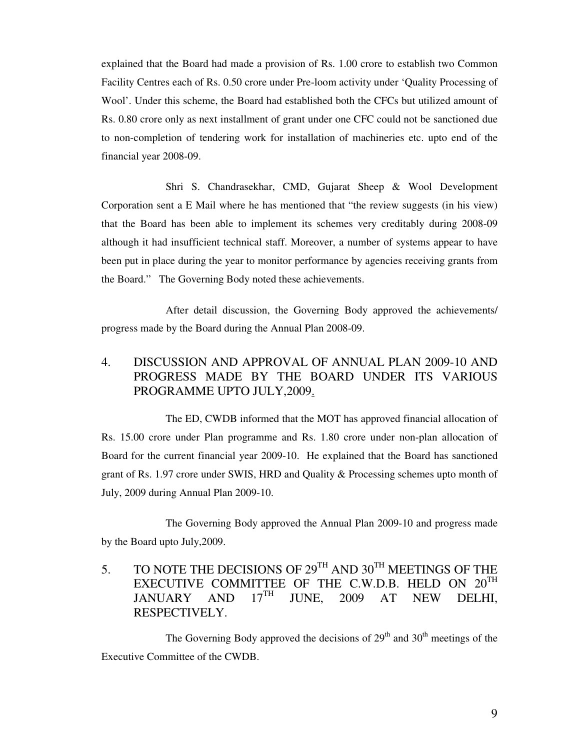explained that the Board had made a provision of Rs. 1.00 crore to establish two Common Facility Centres each of Rs. 0.50 crore under Pre-loom activity under 'Quality Processing of Wool'. Under this scheme, the Board had established both the CFCs but utilized amount of Rs. 0.80 crore only as next installment of grant under one CFC could not be sanctioned due to non-completion of tendering work for installation of machineries etc. upto end of the financial year 2008-09.

 Shri S. Chandrasekhar, CMD, Gujarat Sheep & Wool Development Corporation sent a E Mail where he has mentioned that "the review suggests (in his view) that the Board has been able to implement its schemes very creditably during 2008-09 although it had insufficient technical staff. Moreover, a number of systems appear to have been put in place during the year to monitor performance by agencies receiving grants from the Board." The Governing Body noted these achievements.

 After detail discussion, the Governing Body approved the achievements/ progress made by the Board during the Annual Plan 2008-09.

## 4. DISCUSSION AND APPROVAL OF ANNUAL PLAN 2009-10 AND PROGRESS MADE BY THE BOARD UNDER ITS VARIOUS PROGRAMME UPTO JULY,2009.

 The ED, CWDB informed that the MOT has approved financial allocation of Rs. 15.00 crore under Plan programme and Rs. 1.80 crore under non-plan allocation of Board for the current financial year 2009-10. He explained that the Board has sanctioned grant of Rs. 1.97 crore under SWIS, HRD and Quality & Processing schemes upto month of July, 2009 during Annual Plan 2009-10.

 The Governing Body approved the Annual Plan 2009-10 and progress made by the Board upto July,2009.

5. TO NOTE THE DECISIONS OF  $29^{TH}$  AND  $30^{TH}$  MEETINGS OF THE EXECUTIVE COMMITTEE OF THE C.W.D.B. HELD ON  $20^{TH}$ <br>JANUARY AND  $17^{TH}$  JUNE, 2009 AT NEW DELHI JANUARY AND 17<sup>th</sup> JUNE, 2009 AT NEW DELHI, RESPECTIVELY.

The Governing Body approved the decisions of  $29<sup>th</sup>$  and  $30<sup>th</sup>$  meetings of the Executive Committee of the CWDB.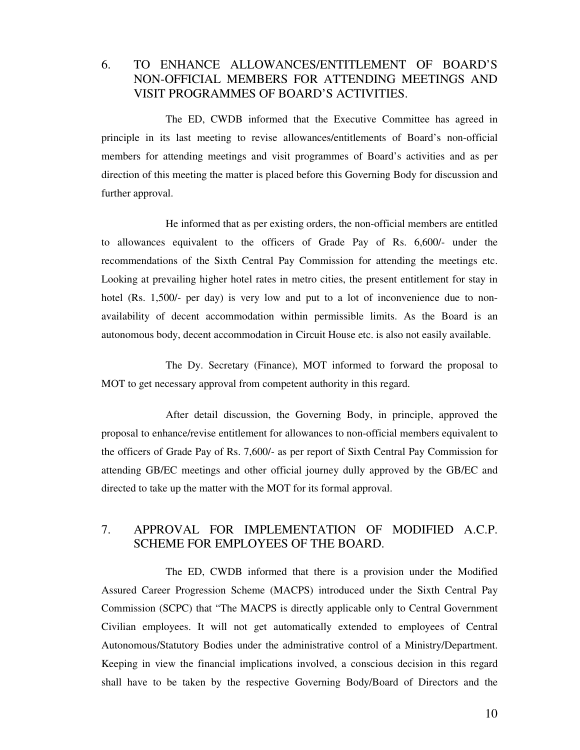## 6. TO ENHANCE ALLOWANCES/ENTITLEMENT OF BOARD'S NON-OFFICIAL MEMBERS FOR ATTENDING MEETINGS AND VISIT PROGRAMMES OF BOARD'S ACTIVITIES.

 The ED, CWDB informed that the Executive Committee has agreed in principle in its last meeting to revise allowances/entitlements of Board's non-official members for attending meetings and visit programmes of Board's activities and as per direction of this meeting the matter is placed before this Governing Body for discussion and further approval.

 He informed that as per existing orders, the non-official members are entitled to allowances equivalent to the officers of Grade Pay of Rs. 6,600/- under the recommendations of the Sixth Central Pay Commission for attending the meetings etc. Looking at prevailing higher hotel rates in metro cities, the present entitlement for stay in hotel (Rs. 1,500/- per day) is very low and put to a lot of inconvenience due to nonavailability of decent accommodation within permissible limits. As the Board is an autonomous body, decent accommodation in Circuit House etc. is also not easily available.

 The Dy. Secretary (Finance), MOT informed to forward the proposal to MOT to get necessary approval from competent authority in this regard.

 After detail discussion, the Governing Body, in principle, approved the proposal to enhance/revise entitlement for allowances to non-official members equivalent to the officers of Grade Pay of Rs. 7,600/- as per report of Sixth Central Pay Commission for attending GB/EC meetings and other official journey dully approved by the GB/EC and directed to take up the matter with the MOT for its formal approval.

## 7. APPROVAL FOR IMPLEMENTATION OF MODIFIED A.C.P. SCHEME FOR EMPLOYEES OF THE BOARD.

 The ED, CWDB informed that there is a provision under the Modified Assured Career Progression Scheme (MACPS) introduced under the Sixth Central Pay Commission (SCPC) that "The MACPS is directly applicable only to Central Government Civilian employees. It will not get automatically extended to employees of Central Autonomous/Statutory Bodies under the administrative control of a Ministry/Department. Keeping in view the financial implications involved, a conscious decision in this regard shall have to be taken by the respective Governing Body/Board of Directors and the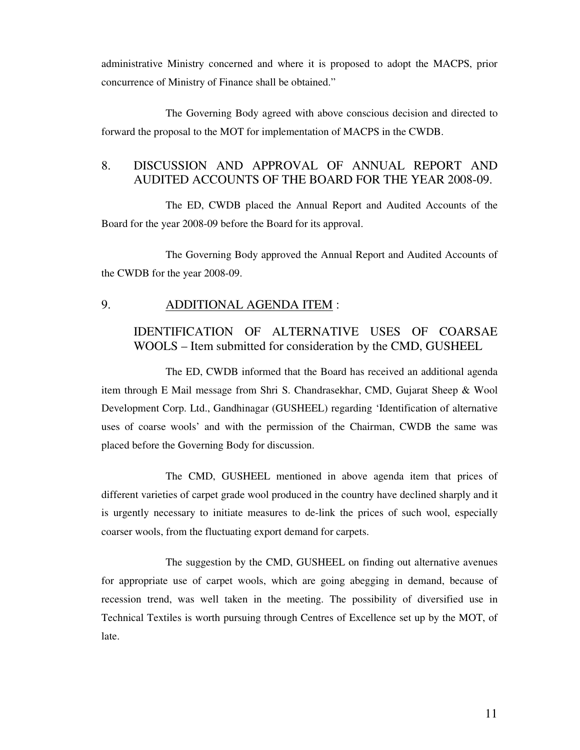administrative Ministry concerned and where it is proposed to adopt the MACPS, prior concurrence of Ministry of Finance shall be obtained."

 The Governing Body agreed with above conscious decision and directed to forward the proposal to the MOT for implementation of MACPS in the CWDB.

## 8. DISCUSSION AND APPROVAL OF ANNUAL REPORT AND AUDITED ACCOUNTS OF THE BOARD FOR THE YEAR 2008-09.

 The ED, CWDB placed the Annual Report and Audited Accounts of the Board for the year 2008-09 before the Board for its approval.

 The Governing Body approved the Annual Report and Audited Accounts of the CWDB for the year 2008-09.

### 9. ADDITIONAL AGENDA ITEM :

## IDENTIFICATION OF ALTERNATIVE USES OF COARSAE WOOLS – Item submitted for consideration by the CMD, GUSHEEL

 The ED, CWDB informed that the Board has received an additional agenda item through E Mail message from Shri S. Chandrasekhar, CMD, Gujarat Sheep & Wool Development Corp. Ltd., Gandhinagar (GUSHEEL) regarding 'Identification of alternative uses of coarse wools' and with the permission of the Chairman, CWDB the same was placed before the Governing Body for discussion.

 The CMD, GUSHEEL mentioned in above agenda item that prices of different varieties of carpet grade wool produced in the country have declined sharply and it is urgently necessary to initiate measures to de-link the prices of such wool, especially coarser wools, from the fluctuating export demand for carpets.

 The suggestion by the CMD, GUSHEEL on finding out alternative avenues for appropriate use of carpet wools, which are going abegging in demand, because of recession trend, was well taken in the meeting. The possibility of diversified use in Technical Textiles is worth pursuing through Centres of Excellence set up by the MOT, of late.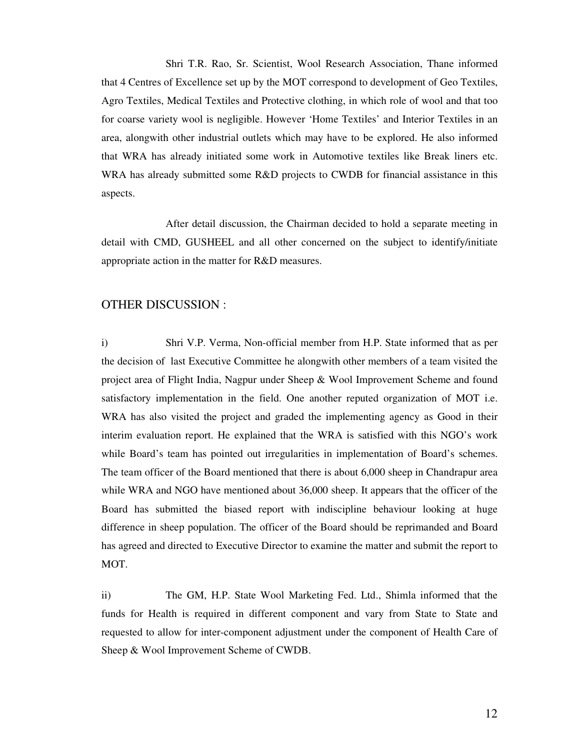Shri T.R. Rao, Sr. Scientist, Wool Research Association, Thane informed that 4 Centres of Excellence set up by the MOT correspond to development of Geo Textiles, Agro Textiles, Medical Textiles and Protective clothing, in which role of wool and that too for coarse variety wool is negligible. However 'Home Textiles' and Interior Textiles in an area, alongwith other industrial outlets which may have to be explored. He also informed that WRA has already initiated some work in Automotive textiles like Break liners etc. WRA has already submitted some R&D projects to CWDB for financial assistance in this aspects.

 After detail discussion, the Chairman decided to hold a separate meeting in detail with CMD, GUSHEEL and all other concerned on the subject to identify/initiate appropriate action in the matter for R&D measures.

### OTHER DISCUSSION :

i) Shri V.P. Verma, Non-official member from H.P. State informed that as per the decision of last Executive Committee he alongwith other members of a team visited the project area of Flight India, Nagpur under Sheep & Wool Improvement Scheme and found satisfactory implementation in the field. One another reputed organization of MOT i.e. WRA has also visited the project and graded the implementing agency as Good in their interim evaluation report. He explained that the WRA is satisfied with this NGO's work while Board's team has pointed out irregularities in implementation of Board's schemes. The team officer of the Board mentioned that there is about 6,000 sheep in Chandrapur area while WRA and NGO have mentioned about 36,000 sheep. It appears that the officer of the Board has submitted the biased report with indiscipline behaviour looking at huge difference in sheep population. The officer of the Board should be reprimanded and Board has agreed and directed to Executive Director to examine the matter and submit the report to MOT.

ii) The GM, H.P. State Wool Marketing Fed. Ltd., Shimla informed that the funds for Health is required in different component and vary from State to State and requested to allow for inter-component adjustment under the component of Health Care of Sheep & Wool Improvement Scheme of CWDB.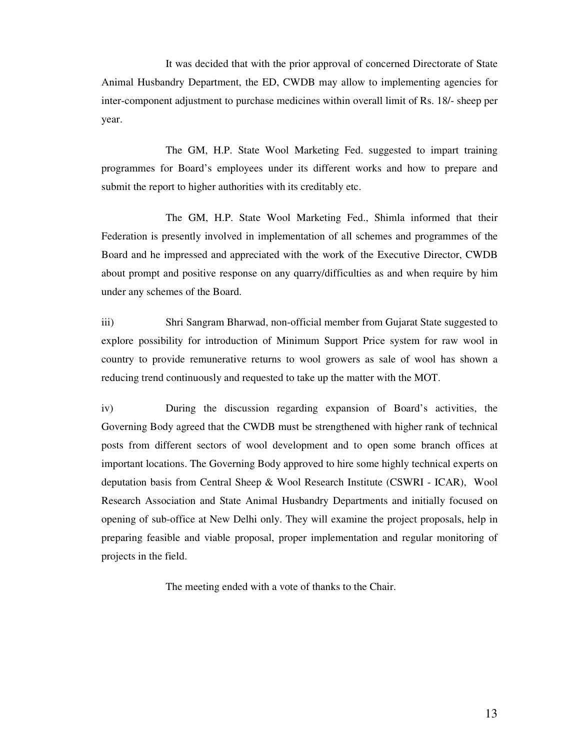It was decided that with the prior approval of concerned Directorate of State Animal Husbandry Department, the ED, CWDB may allow to implementing agencies for inter-component adjustment to purchase medicines within overall limit of Rs. 18/- sheep per year.

 The GM, H.P. State Wool Marketing Fed. suggested to impart training programmes for Board's employees under its different works and how to prepare and submit the report to higher authorities with its creditably etc.

 The GM, H.P. State Wool Marketing Fed., Shimla informed that their Federation is presently involved in implementation of all schemes and programmes of the Board and he impressed and appreciated with the work of the Executive Director, CWDB about prompt and positive response on any quarry/difficulties as and when require by him under any schemes of the Board.

iii) Shri Sangram Bharwad, non-official member from Gujarat State suggested to explore possibility for introduction of Minimum Support Price system for raw wool in country to provide remunerative returns to wool growers as sale of wool has shown a reducing trend continuously and requested to take up the matter with the MOT.

iv) During the discussion regarding expansion of Board's activities, the Governing Body agreed that the CWDB must be strengthened with higher rank of technical posts from different sectors of wool development and to open some branch offices at important locations. The Governing Body approved to hire some highly technical experts on deputation basis from Central Sheep & Wool Research Institute (CSWRI - ICAR), Wool Research Association and State Animal Husbandry Departments and initially focused on opening of sub-office at New Delhi only. They will examine the project proposals, help in preparing feasible and viable proposal, proper implementation and regular monitoring of projects in the field.

The meeting ended with a vote of thanks to the Chair.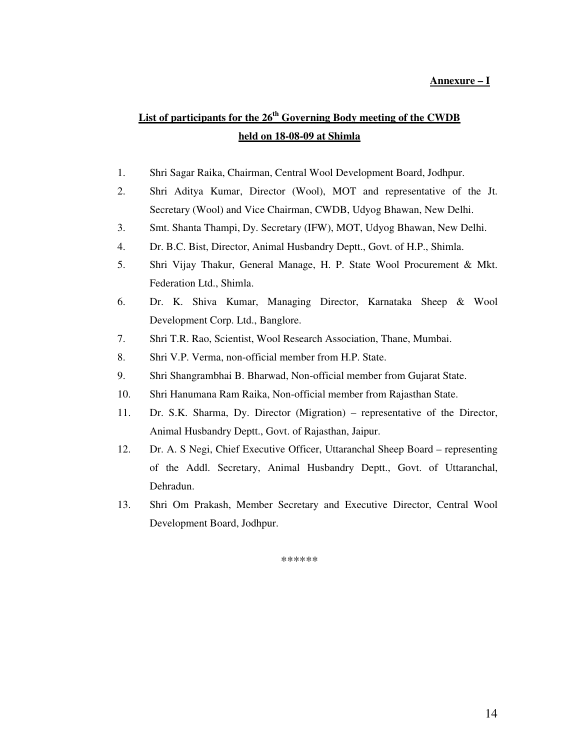### **Annexure – I**

# **List of participants for the 26th Governing Body meeting of the CWDB held on 18-08-09 at Shimla**

- 1. Shri Sagar Raika, Chairman, Central Wool Development Board, Jodhpur.
- 2. Shri Aditya Kumar, Director (Wool), MOT and representative of the Jt. Secretary (Wool) and Vice Chairman, CWDB, Udyog Bhawan, New Delhi.
- 3. Smt. Shanta Thampi, Dy. Secretary (IFW), MOT, Udyog Bhawan, New Delhi.
- 4. Dr. B.C. Bist, Director, Animal Husbandry Deptt., Govt. of H.P., Shimla.
- 5. Shri Vijay Thakur, General Manage, H. P. State Wool Procurement & Mkt. Federation Ltd., Shimla.
- 6. Dr. K. Shiva Kumar, Managing Director, Karnataka Sheep & Wool Development Corp. Ltd., Banglore.
- 7. Shri T.R. Rao, Scientist, Wool Research Association, Thane, Mumbai.
- 8. Shri V.P. Verma, non-official member from H.P. State.
- 9. Shri Shangrambhai B. Bharwad, Non-official member from Gujarat State.
- 10. Shri Hanumana Ram Raika, Non-official member from Rajasthan State.
- 11. Dr. S.K. Sharma, Dy. Director (Migration) representative of the Director, Animal Husbandry Deptt., Govt. of Rajasthan, Jaipur.
- 12. Dr. A. S Negi, Chief Executive Officer, Uttaranchal Sheep Board representing of the Addl. Secretary, Animal Husbandry Deptt., Govt. of Uttaranchal, Dehradun.
- 13. Shri Om Prakash, Member Secretary and Executive Director, Central Wool Development Board, Jodhpur.

\*\*\*\*\*\*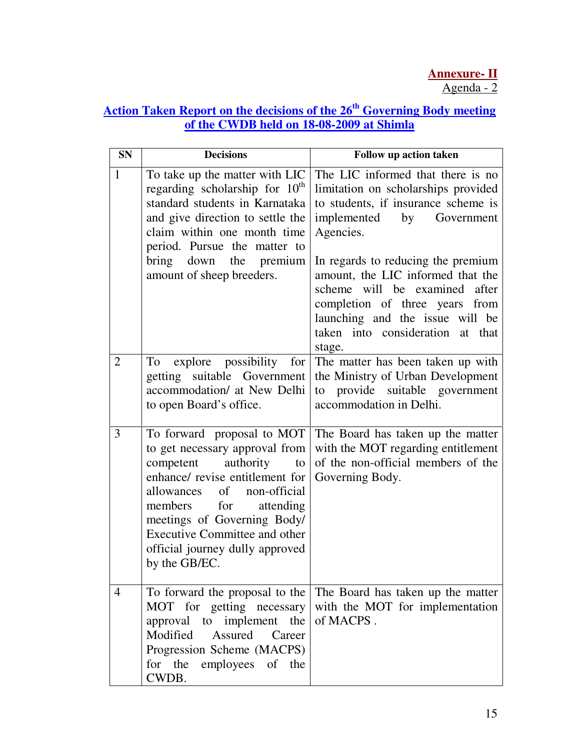# **Action Taken Report on the decisions of the 26th Governing Body meeting of the CWDB held on 18-08-2009 at Shimla**

| <b>SN</b>      | <b>Decisions</b>                                                                                                                                                                                                                                                                                                        | Follow up action taken                                                                                                                                                                                                                                                                                                                                                                      |
|----------------|-------------------------------------------------------------------------------------------------------------------------------------------------------------------------------------------------------------------------------------------------------------------------------------------------------------------------|---------------------------------------------------------------------------------------------------------------------------------------------------------------------------------------------------------------------------------------------------------------------------------------------------------------------------------------------------------------------------------------------|
| 1              | To take up the matter with LIC<br>regarding scholarship for $10th$<br>standard students in Karnataka<br>and give direction to settle the<br>claim within one month time<br>period. Pursue the matter to<br>bring<br>down<br>the premium<br>amount of sheep breeders.                                                    | The LIC informed that there is no<br>limitation on scholarships provided<br>to students, if insurance scheme is<br>implemented by<br>Government<br>Agencies.<br>In regards to reducing the premium<br>amount, the LIC informed that the<br>scheme will be examined after<br>completion of three years from<br>launching and the issue will be<br>taken into consideration at that<br>stage. |
| $\overline{2}$ | explore possibility<br>for<br>To<br>getting suitable Government<br>accommodation/ at New Delhi<br>to open Board's office.                                                                                                                                                                                               | The matter has been taken up with<br>the Ministry of Urban Development<br>to provide suitable government<br>accommodation in Delhi.                                                                                                                                                                                                                                                         |
| 3              | To forward proposal to MOT<br>to get necessary approval from<br>competent<br>authority<br>to<br>enhance/ revise entitlement for<br>allowances of non-official<br>members<br>for<br>attending<br>meetings of Governing Body/<br><b>Executive Committee and other</b><br>official journey dully approved<br>by the GB/EC. | The Board has taken up the matter<br>with the MOT regarding entitlement<br>of the non-official members of the<br>Governing Body.                                                                                                                                                                                                                                                            |
| 4              | To forward the proposal to the<br>MOT for getting necessary<br>approval to implement the<br>Modified<br>Assured<br>Career<br>Progression Scheme (MACPS)<br>for the<br>employees of the<br>CWDB.                                                                                                                         | The Board has taken up the matter<br>with the MOT for implementation<br>of MACPS.                                                                                                                                                                                                                                                                                                           |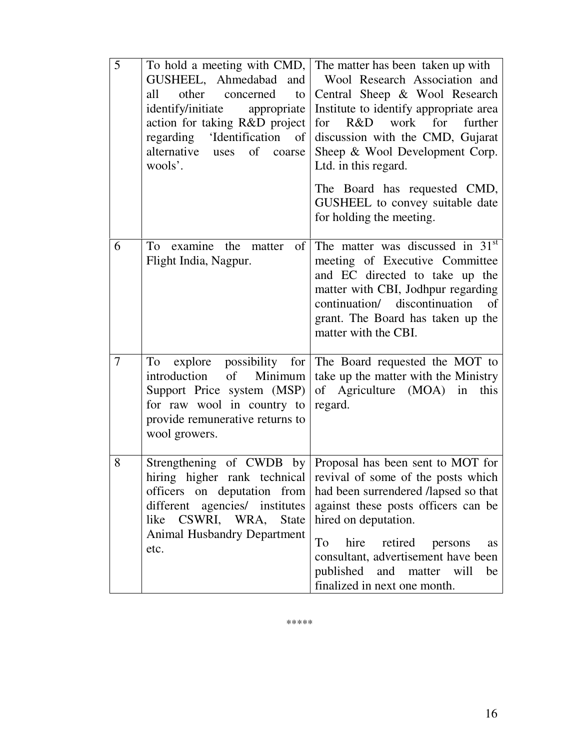| 5              | To hold a meeting with CMD,<br>GUSHEEL, Ahmedabad<br>and<br>all<br>other<br>concerned<br>to<br>identify/initiate<br>appropriate<br>action for taking R&D project<br>regarding 'Identification<br><sub>of</sub><br>alternative uses<br>of<br>coarse<br>wools'. | The matter has been taken up with<br>Wool Research Association and<br>Central Sheep & Wool Research<br>Institute to identify appropriate area<br>R&D<br>work<br>for<br>further<br>for<br>discussion with the CMD, Gujarat<br>Sheep & Wool Development Corp.<br>Ltd. in this regard.<br>The Board has requested CMD,<br>GUSHEEL to convey suitable date<br>for holding the meeting.          |
|----------------|---------------------------------------------------------------------------------------------------------------------------------------------------------------------------------------------------------------------------------------------------------------|---------------------------------------------------------------------------------------------------------------------------------------------------------------------------------------------------------------------------------------------------------------------------------------------------------------------------------------------------------------------------------------------|
| 6              | To<br>examine the matter<br>of<br>Flight India, Nagpur.                                                                                                                                                                                                       | The matter was discussed in 31 <sup>st</sup><br>meeting of Executive Committee<br>and EC directed to take up the<br>matter with CBI, Jodhpur regarding<br>continuation/ discontinuation<br>$\sigma$<br>grant. The Board has taken up the<br>matter with the CBI.                                                                                                                            |
| $\overline{7}$ | To<br>explore possibility for<br>introduction<br>Minimum<br>of<br>Support Price system (MSP)<br>for raw wool in country to<br>provide remunerative returns to<br>wool growers.                                                                                | The Board requested the MOT to<br>take up the matter with the Ministry<br>of Agriculture (MOA) in<br>this<br>regard.                                                                                                                                                                                                                                                                        |
| 8              | officers on deputation from<br>different<br>agencies/ institutes<br>like CSWRI, WRA, State<br><b>Animal Husbandry Department</b><br>etc.                                                                                                                      | Strengthening of CWDB by Proposal has been sent to MOT for<br>hiring higher rank technical revival of some of the posts which<br>had been surrendered /lapsed so that<br>against these posts officers can be<br>hired on deputation.<br>hire<br>retired<br>To<br>persons<br>as<br>consultant, advertisement have been<br>published<br>and matter will<br>be<br>finalized in next one month. |

\*\*\*\*\*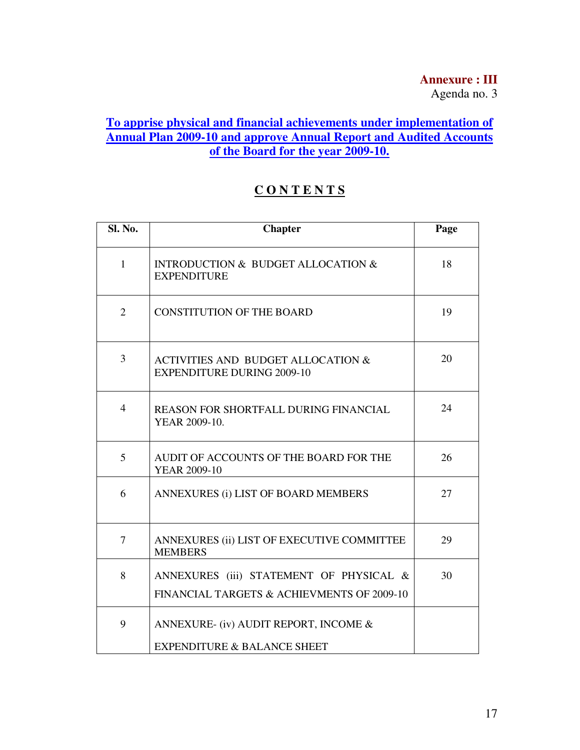# **Annexure : III**

Agenda no. 3

# **To apprise physical and financial achievements under implementation of Annual Plan 2009-10 and approve Annual Report and Audited Accounts of the Board for the year 2009-10.**

# **C O N T E N T S**

| Sl. No.        | <b>Chapter</b>                                                                        | Page |
|----------------|---------------------------------------------------------------------------------------|------|
| $\mathbf{1}$   | <b>INTRODUCTION &amp; BUDGET ALLOCATION &amp;</b><br><b>EXPENDITURE</b>               | 18   |
| $\overline{2}$ | <b>CONSTITUTION OF THE BOARD</b>                                                      | 19   |
| 3              | <b>ACTIVITIES AND BUDGET ALLOCATION &amp;</b><br><b>EXPENDITURE DURING 2009-10</b>    | 20   |
| $\overline{4}$ | <b>REASON FOR SHORTFALL DURING FINANCIAL</b><br>YEAR 2009-10.                         | 24   |
| 5              | AUDIT OF ACCOUNTS OF THE BOARD FOR THE<br><b>YEAR 2009-10</b>                         | 26   |
| 6              | ANNEXURES (i) LIST OF BOARD MEMBERS                                                   | 27   |
| 7              | ANNEXURES (ii) LIST OF EXECUTIVE COMMITTEE<br><b>MEMBERS</b>                          | 29   |
| 8              | ANNEXURES (iii) STATEMENT OF PHYSICAL &<br>FINANCIAL TARGETS & ACHIEVMENTS OF 2009-10 | 30   |
| 9              | ANNEXURE- (iv) AUDIT REPORT, INCOME &<br><b>EXPENDITURE &amp; BALANCE SHEET</b>       |      |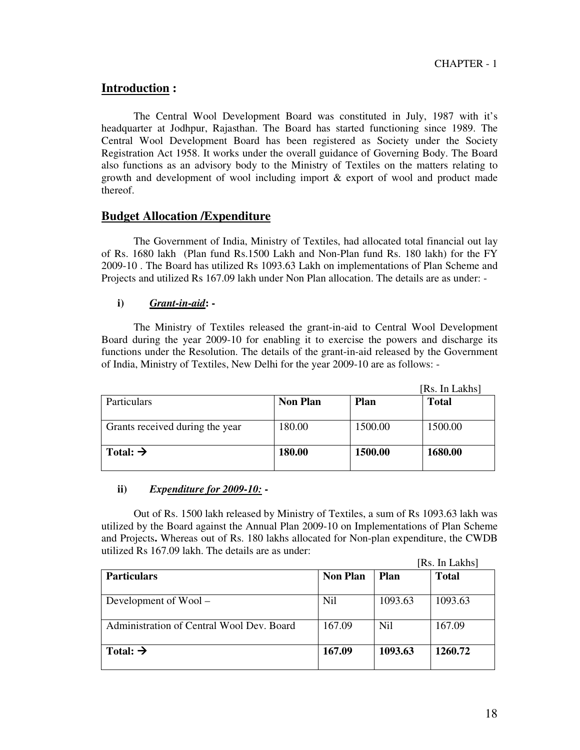## **Introduction :**

 The Central Wool Development Board was constituted in July, 1987 with it's headquarter at Jodhpur, Rajasthan. The Board has started functioning since 1989. The Central Wool Development Board has been registered as Society under the Society Registration Act 1958. It works under the overall guidance of Governing Body. The Board also functions as an advisory body to the Ministry of Textiles on the matters relating to growth and development of wool including import & export of wool and product made thereof.

### **Budget Allocation /Expenditure**

The Government of India, Ministry of Textiles, had allocated total financial out lay of Rs. 1680 lakh (Plan fund Rs.1500 Lakh and Non-Plan fund Rs. 180 lakh) for the FY 2009-10 . The Board has utilized Rs 1093.63 Lakh on implementations of Plan Scheme and Projects and utilized Rs 167.09 lakh under Non Plan allocation. The details are as under: -

### **i)** *Grant-in-aid***: -**

The Ministry of Textiles released the grant-in-aid to Central Wool Development Board during the year 2009-10 for enabling it to exercise the powers and discharge its functions under the Resolution. The details of the grant-in-aid released by the Government of India, Ministry of Textiles, New Delhi for the year 2009-10 are as follows: -

|                                 |                 |         | [Rs. In Lakhs] |
|---------------------------------|-----------------|---------|----------------|
| <b>Particulars</b>              | <b>Non Plan</b> | Plan    | <b>Total</b>   |
| Grants received during the year | 180.00          | 1500.00 | 1500.00        |
| Total: $\rightarrow$            | 180.00          | 1500.00 | 1680.00        |

### **ii)** *Expenditure for 2009-10:* **-**

Out of Rs. 1500 lakh released by Ministry of Textiles, a sum of Rs 1093.63 lakh was utilized by the Board against the Annual Plan 2009-10 on Implementations of Plan Scheme and Projects**.** Whereas out of Rs. 180 lakhs allocated for Non-plan expenditure, the CWDB utilized Rs 167.09 lakh. The details are as under:

|                                           |                 |             | [Rs. In Lakhs] |
|-------------------------------------------|-----------------|-------------|----------------|
| <b>Particulars</b>                        | <b>Non Plan</b> | <b>Plan</b> | <b>Total</b>   |
| Development of $Wood -$                   | Nil             | 1093.63     | 1093.63        |
| Administration of Central Wool Dev. Board | 167.09          | Nil         | 167.09         |
| Total: $\rightarrow$                      | 167.09          | 1093.63     | 1260.72        |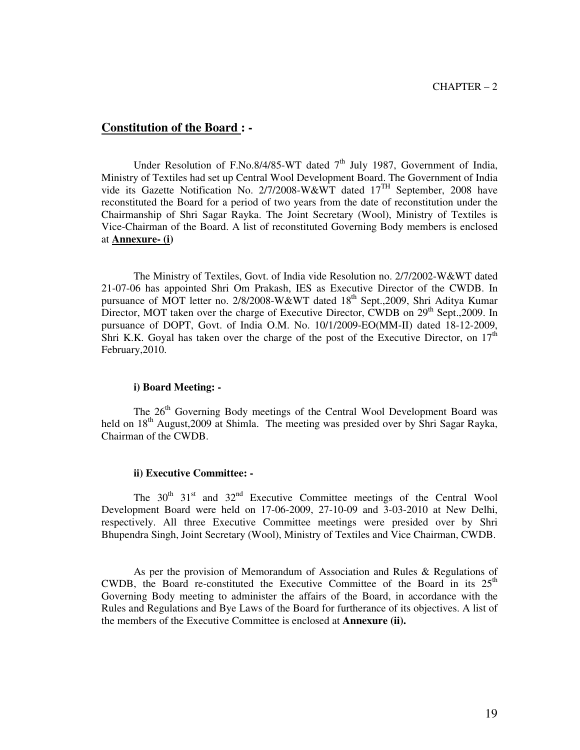### **Constitution of the Board : -**

Under Resolution of F.No.8/4/85-WT dated  $7<sup>th</sup>$  July 1987, Government of India, Ministry of Textiles had set up Central Wool Development Board. The Government of India vide its Gazette Notification No. 2/7/2008-W&WT dated 17TH September, 2008 have reconstituted the Board for a period of two years from the date of reconstitution under the Chairmanship of Shri Sagar Rayka. The Joint Secretary (Wool), Ministry of Textiles is Vice-Chairman of the Board. A list of reconstituted Governing Body members is enclosed at **Annexure- (i)**

 The Ministry of Textiles, Govt. of India vide Resolution no. 2/7/2002-W&WT dated 21-07-06 has appointed Shri Om Prakash, IES as Executive Director of the CWDB. In pursuance of MOT letter no. 2/8/2008-W&WT dated  $18<sup>th</sup>$  Sept.,2009, Shri Aditya Kumar Director, MOT taken over the charge of Executive Director, CWDB on  $29<sup>th</sup>$  Sept., 2009. In pursuance of DOPT, Govt. of India O.M. No. 10/1/2009-EO(MM-II) dated 18-12-2009, Shri K.K. Goyal has taken over the charge of the post of the Executive Director, on  $17<sup>th</sup>$ February,2010.

#### **i) Board Meeting: -**

The 26<sup>th</sup> Governing Body meetings of the Central Wool Development Board was held on 18<sup>th</sup> August, 2009 at Shimla. The meeting was presided over by Shri Sagar Rayka, Chairman of the CWDB.

#### **ii) Executive Committee: -**

The  $30<sup>th</sup>$   $31<sup>st</sup>$  and  $32<sup>nd</sup>$  Executive Committee meetings of the Central Wool Development Board were held on 17-06-2009, 27-10-09 and 3-03-2010 at New Delhi, respectively. All three Executive Committee meetings were presided over by Shri Bhupendra Singh, Joint Secretary (Wool), Ministry of Textiles and Vice Chairman, CWDB.

 As per the provision of Memorandum of Association and Rules & Regulations of CWDB, the Board re-constituted the Executive Committee of the Board in its  $25<sup>th</sup>$ Governing Body meeting to administer the affairs of the Board, in accordance with the Rules and Regulations and Bye Laws of the Board for furtherance of its objectives. A list of the members of the Executive Committee is enclosed at **Annexure (ii).**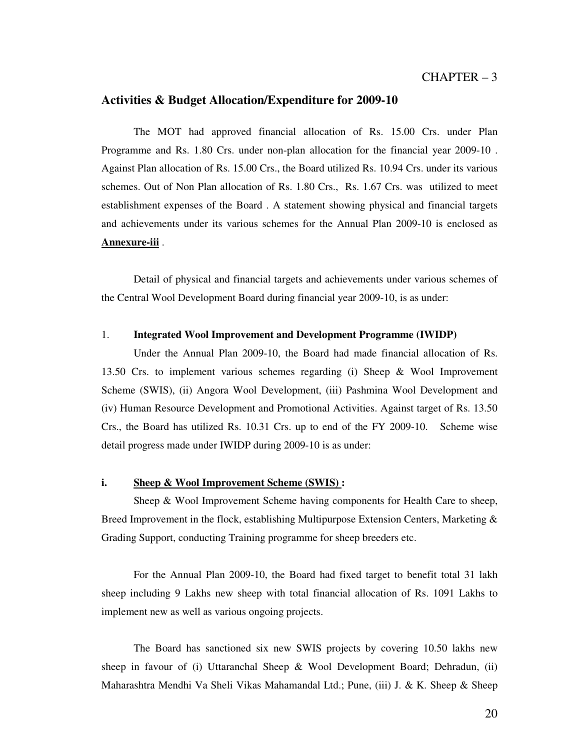### **Activities & Budget Allocation/Expenditure for 2009-10**

 The MOT had approved financial allocation of Rs. 15.00 Crs. under Plan Programme and Rs. 1.80 Crs. under non-plan allocation for the financial year 2009-10 . Against Plan allocation of Rs. 15.00 Crs., the Board utilized Rs. 10.94 Crs. under its various schemes. Out of Non Plan allocation of Rs. 1.80 Crs., Rs. 1.67 Crs. was utilized to meet establishment expenses of the Board . A statement showing physical and financial targets and achievements under its various schemes for the Annual Plan 2009-10 is enclosed as **Annexure-iii** .

 Detail of physical and financial targets and achievements under various schemes of the Central Wool Development Board during financial year 2009-10, is as under:

#### 1. **Integrated Wool Improvement and Development Programme (IWIDP)**

 Under the Annual Plan 2009-10, the Board had made financial allocation of Rs. 13.50 Crs. to implement various schemes regarding (i) Sheep & Wool Improvement Scheme (SWIS), (ii) Angora Wool Development, (iii) Pashmina Wool Development and (iv) Human Resource Development and Promotional Activities. Against target of Rs. 13.50 Crs., the Board has utilized Rs. 10.31 Crs. up to end of the FY 2009-10. Scheme wise detail progress made under IWIDP during 2009-10 is as under:

#### **i. Sheep & Wool Improvement Scheme (SWIS) :**

 Sheep & Wool Improvement Scheme having components for Health Care to sheep, Breed Improvement in the flock, establishing Multipurpose Extension Centers, Marketing & Grading Support, conducting Training programme for sheep breeders etc.

 For the Annual Plan 2009-10, the Board had fixed target to benefit total 31 lakh sheep including 9 Lakhs new sheep with total financial allocation of Rs. 1091 Lakhs to implement new as well as various ongoing projects.

 The Board has sanctioned six new SWIS projects by covering 10.50 lakhs new sheep in favour of (i) Uttaranchal Sheep & Wool Development Board; Dehradun, (ii) Maharashtra Mendhi Va Sheli Vikas Mahamandal Ltd.; Pune, (iii) J. & K. Sheep & Sheep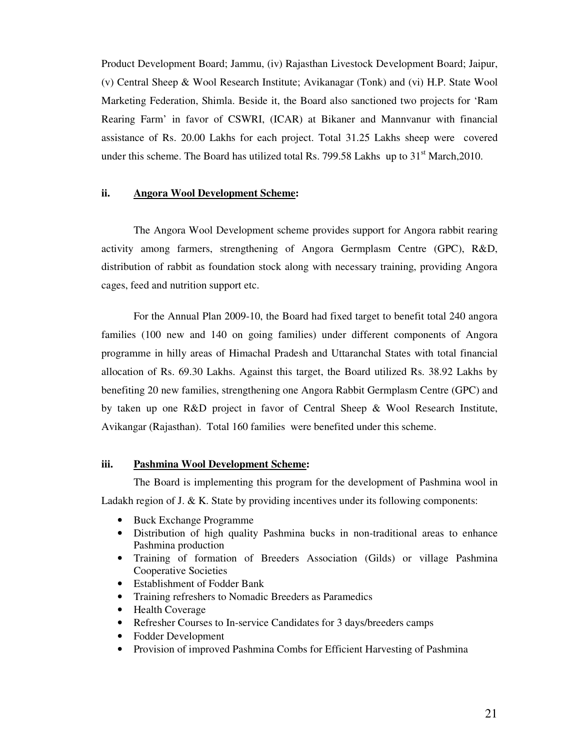Product Development Board; Jammu, (iv) Rajasthan Livestock Development Board; Jaipur, (v) Central Sheep & Wool Research Institute; Avikanagar (Tonk) and (vi) H.P. State Wool Marketing Federation, Shimla. Beside it, the Board also sanctioned two projects for 'Ram Rearing Farm' in favor of CSWRI, (ICAR) at Bikaner and Mannvanur with financial assistance of Rs. 20.00 Lakhs for each project. Total 31.25 Lakhs sheep were covered under this scheme. The Board has utilized total Rs. 799.58 Lakhs up to  $31<sup>st</sup>$  March, 2010.

### **ii. Angora Wool Development Scheme:**

 The Angora Wool Development scheme provides support for Angora rabbit rearing activity among farmers, strengthening of Angora Germplasm Centre (GPC), R&D, distribution of rabbit as foundation stock along with necessary training, providing Angora cages, feed and nutrition support etc.

 For the Annual Plan 2009-10, the Board had fixed target to benefit total 240 angora families (100 new and 140 on going families) under different components of Angora programme in hilly areas of Himachal Pradesh and Uttaranchal States with total financial allocation of Rs. 69.30 Lakhs. Against this target, the Board utilized Rs. 38.92 Lakhs by benefiting 20 new families, strengthening one Angora Rabbit Germplasm Centre (GPC) and by taken up one R&D project in favor of Central Sheep & Wool Research Institute, Avikangar (Rajasthan). Total 160 families were benefited under this scheme.

#### **iii. Pashmina Wool Development Scheme:**

The Board is implementing this program for the development of Pashmina wool in Ladakh region of J. & K. State by providing incentives under its following components:

- Buck Exchange Programme
- Distribution of high quality Pashmina bucks in non-traditional areas to enhance Pashmina production
- Training of formation of Breeders Association (Gilds) or village Pashmina Cooperative Societies
- Establishment of Fodder Bank
- Training refreshers to Nomadic Breeders as Paramedics
- Health Coverage
- Refresher Courses to In-service Candidates for 3 days/breeders camps
- Fodder Development
- Provision of improved Pashmina Combs for Efficient Harvesting of Pashmina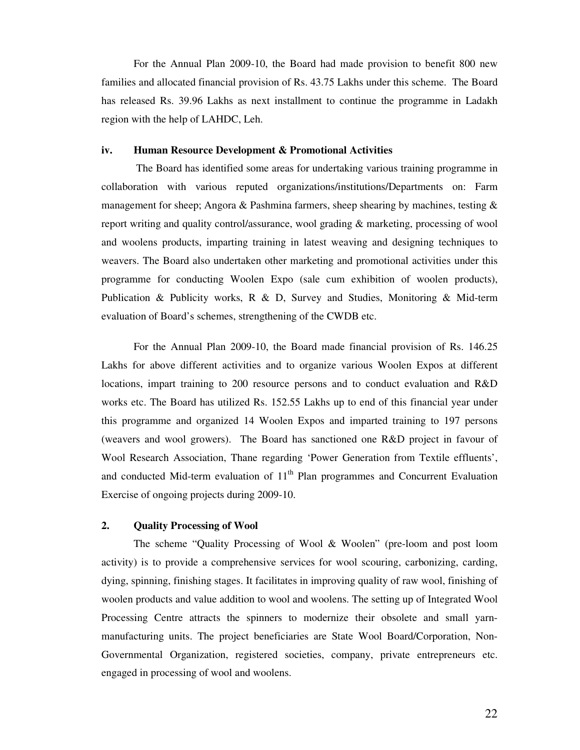For the Annual Plan 2009-10, the Board had made provision to benefit 800 new families and allocated financial provision of Rs. 43.75 Lakhs under this scheme. The Board has released Rs. 39.96 Lakhs as next installment to continue the programme in Ladakh region with the help of LAHDC, Leh.

### **iv. Human Resource Development & Promotional Activities**

 The Board has identified some areas for undertaking various training programme in collaboration with various reputed organizations/institutions/Departments on: Farm management for sheep; Angora & Pashmina farmers, sheep shearing by machines, testing  $\&$ report writing and quality control/assurance, wool grading & marketing, processing of wool and woolens products, imparting training in latest weaving and designing techniques to weavers. The Board also undertaken other marketing and promotional activities under this programme for conducting Woolen Expo (sale cum exhibition of woolen products), Publication & Publicity works, R & D, Survey and Studies, Monitoring & Mid-term evaluation of Board's schemes, strengthening of the CWDB etc.

 For the Annual Plan 2009-10, the Board made financial provision of Rs. 146.25 Lakhs for above different activities and to organize various Woolen Expos at different locations, impart training to 200 resource persons and to conduct evaluation and R&D works etc. The Board has utilized Rs. 152.55 Lakhs up to end of this financial year under this programme and organized 14 Woolen Expos and imparted training to 197 persons (weavers and wool growers). The Board has sanctioned one R&D project in favour of Wool Research Association, Thane regarding 'Power Generation from Textile effluents', and conducted Mid-term evaluation of  $11<sup>th</sup>$  Plan programmes and Concurrent Evaluation Exercise of ongoing projects during 2009-10.

### **2. Quality Processing of Wool**

 The scheme "Quality Processing of Wool & Woolen" (pre-loom and post loom activity) is to provide a comprehensive services for wool scouring, carbonizing, carding, dying, spinning, finishing stages. It facilitates in improving quality of raw wool, finishing of woolen products and value addition to wool and woolens. The setting up of Integrated Wool Processing Centre attracts the spinners to modernize their obsolete and small yarnmanufacturing units. The project beneficiaries are State Wool Board/Corporation, Non-Governmental Organization, registered societies, company, private entrepreneurs etc. engaged in processing of wool and woolens.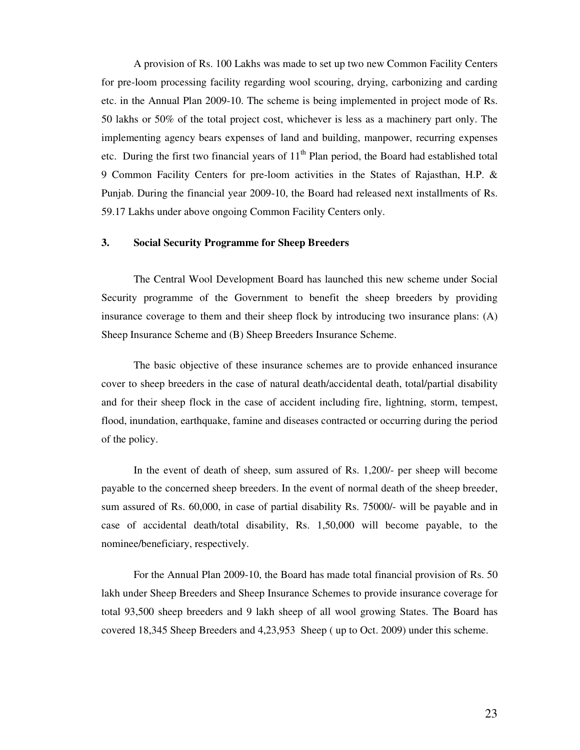A provision of Rs. 100 Lakhs was made to set up two new Common Facility Centers for pre-loom processing facility regarding wool scouring, drying, carbonizing and carding etc. in the Annual Plan 2009-10. The scheme is being implemented in project mode of Rs. 50 lakhs or 50% of the total project cost, whichever is less as a machinery part only. The implementing agency bears expenses of land and building, manpower, recurring expenses etc. During the first two financial years of  $11<sup>th</sup>$  Plan period, the Board had established total 9 Common Facility Centers for pre-loom activities in the States of Rajasthan, H.P. & Punjab. During the financial year 2009-10, the Board had released next installments of Rs. 59.17 Lakhs under above ongoing Common Facility Centers only.

#### **3. Social Security Programme for Sheep Breeders**

The Central Wool Development Board has launched this new scheme under Social Security programme of the Government to benefit the sheep breeders by providing insurance coverage to them and their sheep flock by introducing two insurance plans: (A) Sheep Insurance Scheme and (B) Sheep Breeders Insurance Scheme.

 The basic objective of these insurance schemes are to provide enhanced insurance cover to sheep breeders in the case of natural death/accidental death, total/partial disability and for their sheep flock in the case of accident including fire, lightning, storm, tempest, flood, inundation, earthquake, famine and diseases contracted or occurring during the period of the policy.

 In the event of death of sheep, sum assured of Rs. 1,200/- per sheep will become payable to the concerned sheep breeders. In the event of normal death of the sheep breeder, sum assured of Rs. 60,000, in case of partial disability Rs. 75000/- will be payable and in case of accidental death/total disability, Rs. 1,50,000 will become payable, to the nominee/beneficiary, respectively.

For the Annual Plan 2009-10, the Board has made total financial provision of Rs. 50 lakh under Sheep Breeders and Sheep Insurance Schemes to provide insurance coverage for total 93,500 sheep breeders and 9 lakh sheep of all wool growing States. The Board has covered 18,345 Sheep Breeders and 4,23,953 Sheep ( up to Oct. 2009) under this scheme.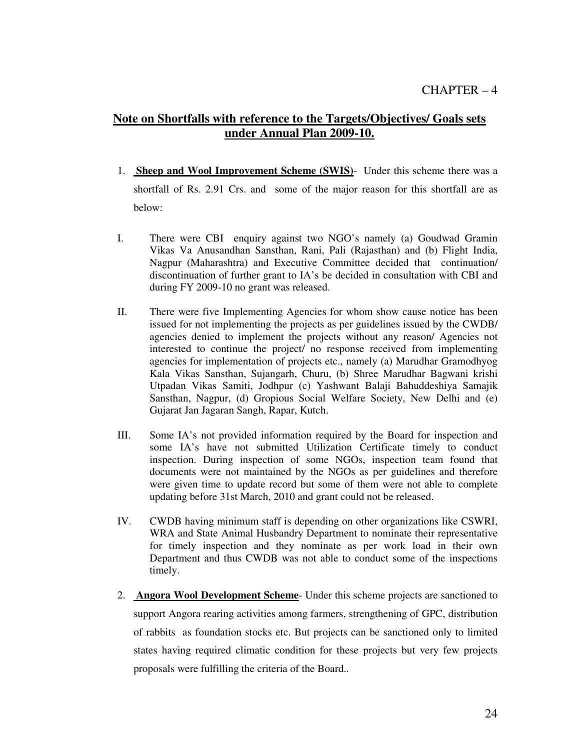# **Note on Shortfalls with reference to the Targets/Objectives/ Goals sets under Annual Plan 2009-10.**

- 1. **Sheep and Wool Improvement Scheme (SWIS)** Under this scheme there was a shortfall of Rs. 2.91 Crs. and some of the major reason for this shortfall are as below:
- I. There were CBI enquiry against two NGO's namely (a) Goudwad Gramin Vikas Va Anusandhan Sansthan, Rani, Pali (Rajasthan) and (b) Flight India, Nagpur (Maharashtra) and Executive Committee decided that continuation/ discontinuation of further grant to IA's be decided in consultation with CBI and during FY 2009-10 no grant was released.
- II. There were five Implementing Agencies for whom show cause notice has been issued for not implementing the projects as per guidelines issued by the CWDB/ agencies denied to implement the projects without any reason/ Agencies not interested to continue the project/ no response received from implementing agencies for implementation of projects etc., namely (a) Marudhar Gramodhyog Kala Vikas Sansthan, Sujangarh, Churu, (b) Shree Marudhar Bagwani krishi Utpadan Vikas Samiti, Jodhpur (c) Yashwant Balaji Bahuddeshiya Samajik Sansthan, Nagpur, (d) Gropious Social Welfare Society, New Delhi and (e) Gujarat Jan Jagaran Sangh, Rapar, Kutch.
- III. Some IA's not provided information required by the Board for inspection and some IA's have not submitted Utilization Certificate timely to conduct inspection. During inspection of some NGOs, inspection team found that documents were not maintained by the NGOs as per guidelines and therefore were given time to update record but some of them were not able to complete updating before 31st March, 2010 and grant could not be released.
- IV. CWDB having minimum staff is depending on other organizations like CSWRI, WRA and State Animal Husbandry Department to nominate their representative for timely inspection and they nominate as per work load in their own Department and thus CWDB was not able to conduct some of the inspections timely.
- 2. **Angora Wool Development Scheme** Under this scheme projects are sanctioned to support Angora rearing activities among farmers, strengthening of GPC, distribution of rabbits as foundation stocks etc. But projects can be sanctioned only to limited states having required climatic condition for these projects but very few projects proposals were fulfilling the criteria of the Board..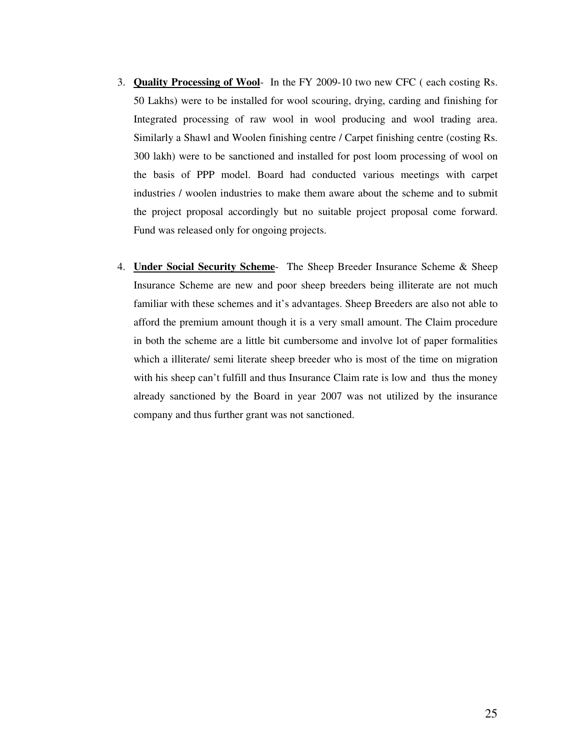- 3. **Quality Processing of Wool** In the FY 2009-10 two new CFC ( each costing Rs. 50 Lakhs) were to be installed for wool scouring, drying, carding and finishing for Integrated processing of raw wool in wool producing and wool trading area. Similarly a Shawl and Woolen finishing centre / Carpet finishing centre (costing Rs. 300 lakh) were to be sanctioned and installed for post loom processing of wool on the basis of PPP model. Board had conducted various meetings with carpet industries / woolen industries to make them aware about the scheme and to submit the project proposal accordingly but no suitable project proposal come forward. Fund was released only for ongoing projects.
- 4. **Under Social Security Scheme** The Sheep Breeder Insurance Scheme & Sheep Insurance Scheme are new and poor sheep breeders being illiterate are not much familiar with these schemes and it's advantages. Sheep Breeders are also not able to afford the premium amount though it is a very small amount. The Claim procedure in both the scheme are a little bit cumbersome and involve lot of paper formalities which a illiterate/ semi literate sheep breeder who is most of the time on migration with his sheep can't fulfill and thus Insurance Claim rate is low and thus the money already sanctioned by the Board in year 2007 was not utilized by the insurance company and thus further grant was not sanctioned.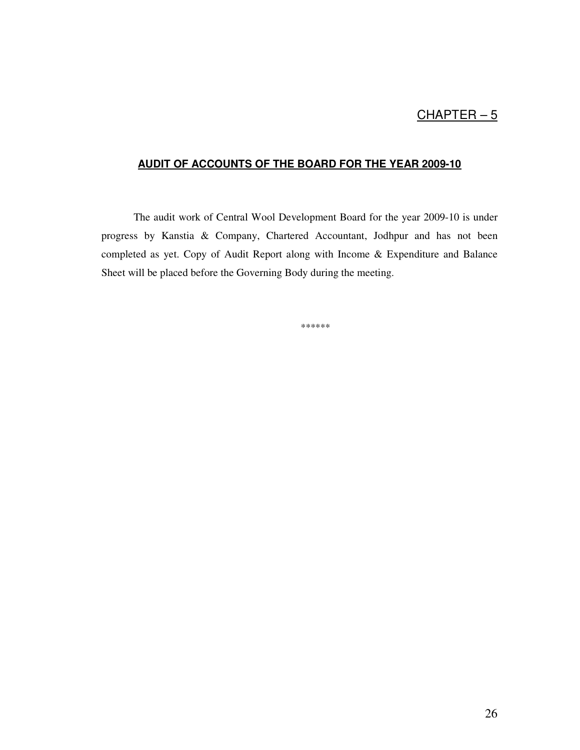# $CHAPTER-5$

## **AUDIT OF ACCOUNTS OF THE BOARD FOR THE YEAR 2009-10**

 The audit work of Central Wool Development Board for the year 2009-10 is under progress by Kanstia & Company, Chartered Accountant, Jodhpur and has not been completed as yet. Copy of Audit Report along with Income & Expenditure and Balance Sheet will be placed before the Governing Body during the meeting.

\*\*\*\*\*\*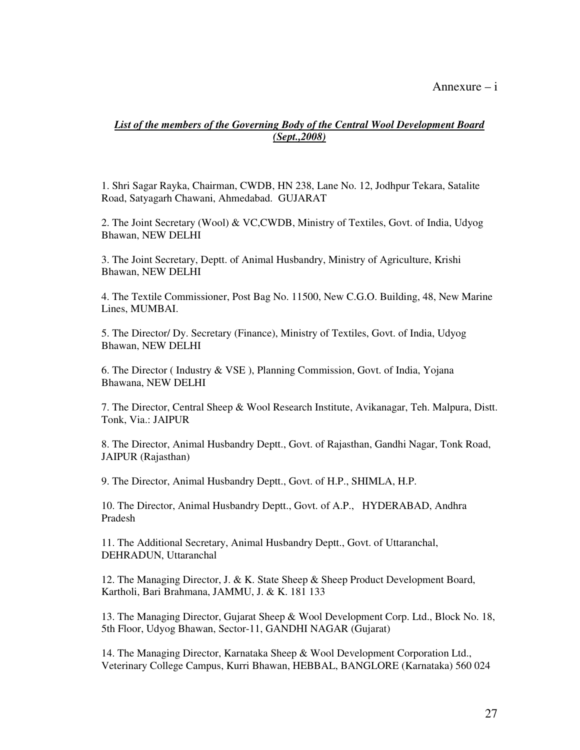### Annexure – i

### *List of the members of the Governing Body of the Central Wool Development Board (Sept.,2008)*

1. Shri Sagar Rayka, Chairman, CWDB, HN 238, Lane No. 12, Jodhpur Tekara, Satalite Road, Satyagarh Chawani, Ahmedabad. GUJARAT

2. The Joint Secretary (Wool) & VC,CWDB, Ministry of Textiles, Govt. of India, Udyog Bhawan, NEW DELHI

3. The Joint Secretary, Deptt. of Animal Husbandry, Ministry of Agriculture, Krishi Bhawan, NEW DELHI

4. The Textile Commissioner, Post Bag No. 11500, New C.G.O. Building, 48, New Marine Lines, MUMBAI.

5. The Director/ Dy. Secretary (Finance), Ministry of Textiles, Govt. of India, Udyog Bhawan, NEW DELHI

6. The Director ( Industry & VSE ), Planning Commission, Govt. of India, Yojana Bhawana, NEW DELHI

7. The Director, Central Sheep & Wool Research Institute, Avikanagar, Teh. Malpura, Distt. Tonk, Via.: JAIPUR

8. The Director, Animal Husbandry Deptt., Govt. of Rajasthan, Gandhi Nagar, Tonk Road, JAIPUR (Rajasthan)

9. The Director, Animal Husbandry Deptt., Govt. of H.P., SHIMLA, H.P.

10. The Director, Animal Husbandry Deptt., Govt. of A.P., HYDERABAD, Andhra Pradesh

11. The Additional Secretary, Animal Husbandry Deptt., Govt. of Uttaranchal, DEHRADUN, Uttaranchal

12. The Managing Director, J. & K. State Sheep & Sheep Product Development Board, Kartholi, Bari Brahmana, JAMMU, J. & K. 181 133

13. The Managing Director, Gujarat Sheep & Wool Development Corp. Ltd., Block No. 18, 5th Floor, Udyog Bhawan, Sector-11, GANDHI NAGAR (Gujarat)

14. The Managing Director, Karnataka Sheep & Wool Development Corporation Ltd., Veterinary College Campus, Kurri Bhawan, HEBBAL, BANGLORE (Karnataka) 560 024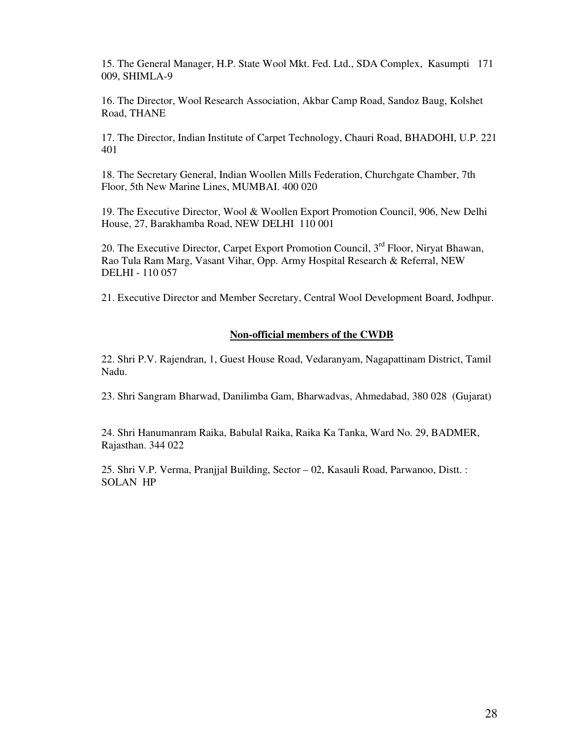15. The General Manager, H.P. State Wool Mkt. Fed. Ltd., SDA Complex, Kasumpti 171 009, SHIMLA-9

16. The Director, Wool Research Association, Akbar Camp Road, Sandoz Baug, Kolshet Road, THANE

17. The Director, Indian Institute of Carpet Technology, Chauri Road, BHADOHI, U.P. 221 401

18. The Secretary General, Indian Woollen Mills Federation, Churchgate Chamber, 7th Floor, 5th New Marine Lines, MUMBAI. 400 020

19. The Executive Director, Wool & Woollen Export Promotion Council, 906, New Delhi House, 27, Barakhamba Road, NEW DELHI 110 001

20. The Executive Director, Carpet Export Promotion Council, 3<sup>rd</sup> Floor, Niryat Bhawan, Rao Tula Ram Marg, Vasant Vihar, Opp. Army Hospital Research & Referral, NEW DELHI - 110 057

21. Executive Director and Member Secretary, Central Wool Development Board, Jodhpur.

### **Non-official members of the CWDB**

22. Shri P.V. Rajendran, 1, Guest House Road, Vedaranyam, Nagapattinam District, Tamil Nadu.

23. Shri Sangram Bharwad, Danilimba Gam, Bharwadvas, Ahmedabad, 380 028 (Gujarat)

24. Shri Hanumanram Raika, Babulal Raika, Raika Ka Tanka, Ward No. 29, BADMER, Rajasthan. 344 022

25. Shri V.P. Verma, Pranjjal Building, Sector – 02, Kasauli Road, Parwanoo, Distt. : SOLAN HP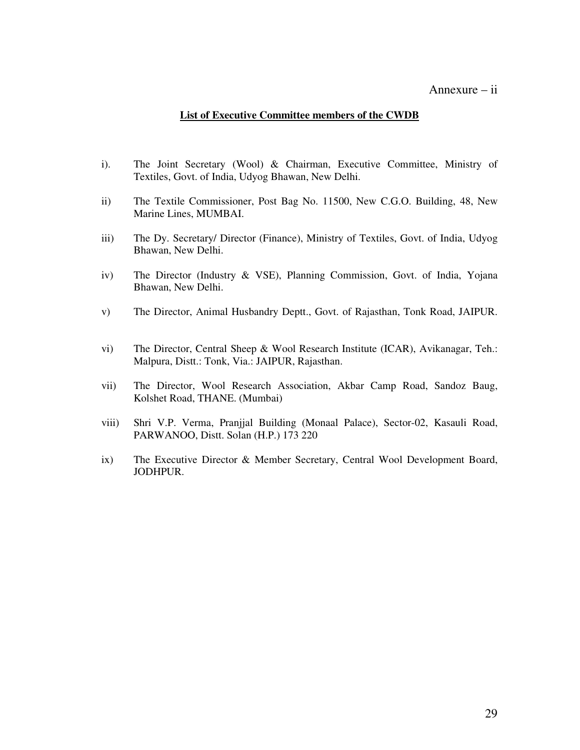### Annexure – ii

### **List of Executive Committee members of the CWDB**

- i). The Joint Secretary (Wool) & Chairman, Executive Committee, Ministry of Textiles, Govt. of India, Udyog Bhawan, New Delhi.
- ii) The Textile Commissioner, Post Bag No. 11500, New C.G.O. Building, 48, New Marine Lines, MUMBAI.
- iii) The Dy. Secretary/ Director (Finance), Ministry of Textiles, Govt. of India, Udyog Bhawan, New Delhi.
- iv) The Director (Industry & VSE), Planning Commission, Govt. of India, Yojana Bhawan, New Delhi.
- v) The Director, Animal Husbandry Deptt., Govt. of Rajasthan, Tonk Road, JAIPUR.
- vi) The Director, Central Sheep & Wool Research Institute (ICAR), Avikanagar, Teh.: Malpura, Distt.: Tonk, Via.: JAIPUR, Rajasthan.
- vii) The Director, Wool Research Association, Akbar Camp Road, Sandoz Baug, Kolshet Road, THANE. (Mumbai)
- viii) Shri V.P. Verma, Pranjjal Building (Monaal Palace), Sector-02, Kasauli Road, PARWANOO, Distt. Solan (H.P.) 173 220
- ix) The Executive Director & Member Secretary, Central Wool Development Board, JODHPUR.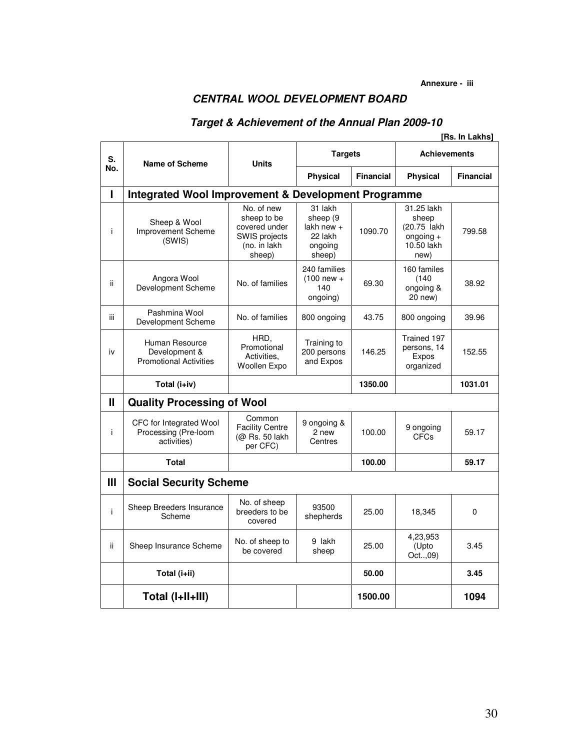# **CENTRAL WOOL DEVELOPMENT BOARD**

# **Target & Achievement of the Annual Plan 2009-10**

|              |                                                                  |                                                                                       |                                                                     |                  |                                                                         | [Rs. In Lakhs] |
|--------------|------------------------------------------------------------------|---------------------------------------------------------------------------------------|---------------------------------------------------------------------|------------------|-------------------------------------------------------------------------|----------------|
| S.           | Name of Scheme                                                   | <b>Units</b>                                                                          | <b>Targets</b>                                                      |                  | <b>Achievements</b>                                                     |                |
| No.          |                                                                  |                                                                                       | <b>Physical</b>                                                     | <b>Financial</b> | <b>Physical</b>                                                         | Financial      |
| Ī            | <b>Integrated Wool Improvement &amp; Development Programme</b>   |                                                                                       |                                                                     |                  |                                                                         |                |
| j.           | Sheep & Wool<br>Improvement Scheme<br>(SWIS)                     | No. of new<br>sheep to be<br>covered under<br>SWIS projects<br>(no. in lakh<br>sheep) | 31 lakh<br>sheep (9<br>lakh new $+$<br>22 lakh<br>ongoing<br>sheep) | 1090.70          | 31.25 lakh<br>sheep<br>(20.75 lakh<br>$ongoing +$<br>10.50 lakh<br>new) | 799.58         |
| ii.          | Angora Wool<br>Development Scheme                                | No. of families                                                                       | 240 families<br>$(100$ new +<br>140<br>ongoing)                     | 69.30            | 160 familes<br>(140)<br>ongoing &<br>20 new)                            | 38.92          |
| iii          | Pashmina Wool<br>Development Scheme                              | No. of families                                                                       | 800 ongoing                                                         | 43.75            | 800 ongoing                                                             | 39.96          |
| iv           | Human Resource<br>Development &<br><b>Promotional Activities</b> | HRD,<br>Promotional<br>Activities,<br>Woollen Expo                                    | Training to<br>200 persons<br>and Expos                             | 146.25           | Trained 197<br>persons, 14<br>Expos<br>organized                        | 152.55         |
|              | Total (i+iv)                                                     |                                                                                       |                                                                     | 1350.00          |                                                                         | 1031.01        |
| $\mathbf{I}$ | <b>Quality Processing of Wool</b>                                |                                                                                       |                                                                     |                  |                                                                         |                |
| j.           | CFC for Integrated Wool<br>Processing (Pre-loom<br>activities)   | Common<br><b>Facility Centre</b><br>(@ Rs. 50 lakh<br>per CFC)                        | 9 ongoing &<br>2 new<br>Centres                                     | 100.00           | 9 ongoing<br><b>CFCs</b>                                                | 59.17          |
|              | Total                                                            |                                                                                       |                                                                     | 100.00           |                                                                         | 59.17          |
| Ш            | <b>Social Security Scheme</b>                                    |                                                                                       |                                                                     |                  |                                                                         |                |
| j.           | Sheep Breeders Insurance<br>Scheme                               | No. of sheep<br>breeders to be<br>covered                                             | 93500<br>shepherds                                                  | 25.00            | 18,345                                                                  | 0              |
| ii.          | Sheep Insurance Scheme                                           | No. of sheep to<br>be covered                                                         | 9 lakh<br>sheep                                                     | 25.00            | 4,23,953<br>(Upto<br>Oct,09)                                            | 3.45           |
|              | Total (i+ii)                                                     |                                                                                       |                                                                     | 50.00            |                                                                         | 3.45           |
|              | Total (I+II+III)                                                 |                                                                                       |                                                                     | 1500.00          |                                                                         | 1094           |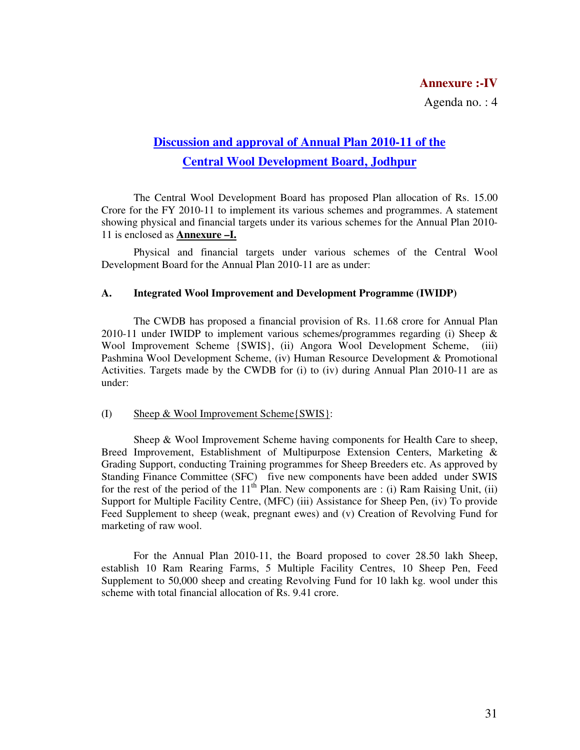## **Annexure :-IV**

Agenda no. : 4

# **Discussion and approval of Annual Plan 2010-11 of the Central Wool Development Board, Jodhpur**

The Central Wool Development Board has proposed Plan allocation of Rs. 15.00 Crore for the FY 2010-11 to implement its various schemes and programmes. A statement showing physical and financial targets under its various schemes for the Annual Plan 2010- 11 is enclosed as **Annexure –I.**

Physical and financial targets under various schemes of the Central Wool Development Board for the Annual Plan 2010-11 are as under:

#### **A. Integrated Wool Improvement and Development Programme (IWIDP)**

 The CWDB has proposed a financial provision of Rs. 11.68 crore for Annual Plan 2010-11 under IWIDP to implement various schemes/programmes regarding (i) Sheep  $\&$ Wool Improvement Scheme {SWIS}, (ii) Angora Wool Development Scheme, (iii) Pashmina Wool Development Scheme, (iv) Human Resource Development & Promotional Activities. Targets made by the CWDB for (i) to (iv) during Annual Plan 2010-11 are as under:

#### (I) Sheep & Wool Improvement Scheme{SWIS}:

 Sheep & Wool Improvement Scheme having components for Health Care to sheep, Breed Improvement, Establishment of Multipurpose Extension Centers, Marketing & Grading Support, conducting Training programmes for Sheep Breeders etc. As approved by Standing Finance Committee (SFC) five new components have been added under SWIS for the rest of the period of the  $11<sup>th</sup>$  Plan. New components are : (i) Ram Raising Unit, (ii) Support for Multiple Facility Centre, (MFC) (iii) Assistance for Sheep Pen, (iv) To provide Feed Supplement to sheep (weak, pregnant ewes) and (v) Creation of Revolving Fund for marketing of raw wool.

 For the Annual Plan 2010-11, the Board proposed to cover 28.50 lakh Sheep, establish 10 Ram Rearing Farms, 5 Multiple Facility Centres, 10 Sheep Pen, Feed Supplement to 50,000 sheep and creating Revolving Fund for 10 lakh kg. wool under this scheme with total financial allocation of Rs. 9.41 crore.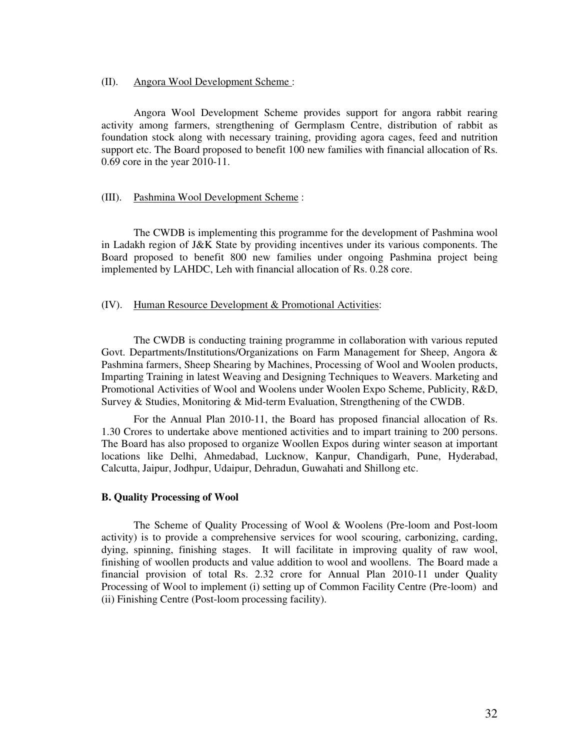#### (II). Angora Wool Development Scheme :

 Angora Wool Development Scheme provides support for angora rabbit rearing activity among farmers, strengthening of Germplasm Centre, distribution of rabbit as foundation stock along with necessary training, providing agora cages, feed and nutrition support etc. The Board proposed to benefit 100 new families with financial allocation of Rs. 0.69 core in the year 2010-11.

### (III). Pashmina Wool Development Scheme :

 The CWDB is implementing this programme for the development of Pashmina wool in Ladakh region of J&K State by providing incentives under its various components. The Board proposed to benefit 800 new families under ongoing Pashmina project being implemented by LAHDC, Leh with financial allocation of Rs. 0.28 core.

#### (IV). Human Resource Development & Promotional Activities:

 The CWDB is conducting training programme in collaboration with various reputed Govt. Departments/Institutions/Organizations on Farm Management for Sheep, Angora & Pashmina farmers, Sheep Shearing by Machines, Processing of Wool and Woolen products, Imparting Training in latest Weaving and Designing Techniques to Weavers. Marketing and Promotional Activities of Wool and Woolens under Woolen Expo Scheme, Publicity, R&D, Survey & Studies, Monitoring & Mid-term Evaluation, Strengthening of the CWDB.

 For the Annual Plan 2010-11, the Board has proposed financial allocation of Rs. 1.30 Crores to undertake above mentioned activities and to impart training to 200 persons. The Board has also proposed to organize Woollen Expos during winter season at important locations like Delhi, Ahmedabad, Lucknow, Kanpur, Chandigarh, Pune, Hyderabad, Calcutta, Jaipur, Jodhpur, Udaipur, Dehradun, Guwahati and Shillong etc.

### **B. Quality Processing of Wool**

The Scheme of Quality Processing of Wool & Woolens (Pre-loom and Post-loom activity) is to provide a comprehensive services for wool scouring, carbonizing, carding, dying, spinning, finishing stages. It will facilitate in improving quality of raw wool, finishing of woollen products and value addition to wool and woollens. The Board made a financial provision of total Rs. 2.32 crore for Annual Plan 2010-11 under Quality Processing of Wool to implement (i) setting up of Common Facility Centre (Pre-loom) and (ii) Finishing Centre (Post-loom processing facility).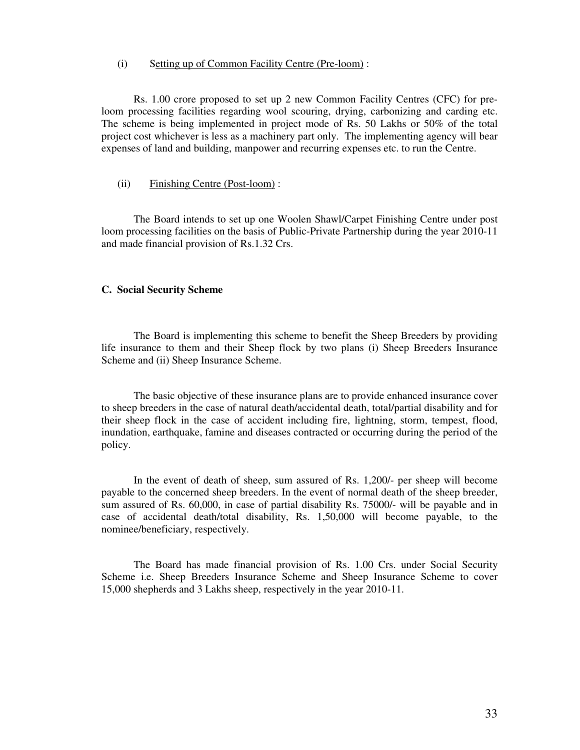#### (i) Setting up of Common Facility Centre (Pre-loom) :

 Rs. 1.00 crore proposed to set up 2 new Common Facility Centres (CFC) for preloom processing facilities regarding wool scouring, drying, carbonizing and carding etc. The scheme is being implemented in project mode of Rs. 50 Lakhs or 50% of the total project cost whichever is less as a machinery part only. The implementing agency will bear expenses of land and building, manpower and recurring expenses etc. to run the Centre.

### (ii) Finishing Centre (Post-loom) :

 The Board intends to set up one Woolen Shawl/Carpet Finishing Centre under post loom processing facilities on the basis of Public-Private Partnership during the year 2010-11 and made financial provision of Rs.1.32 Crs.

#### **C. Social Security Scheme**

The Board is implementing this scheme to benefit the Sheep Breeders by providing life insurance to them and their Sheep flock by two plans (i) Sheep Breeders Insurance Scheme and (ii) Sheep Insurance Scheme.

The basic objective of these insurance plans are to provide enhanced insurance cover to sheep breeders in the case of natural death/accidental death, total/partial disability and for their sheep flock in the case of accident including fire, lightning, storm, tempest, flood, inundation, earthquake, famine and diseases contracted or occurring during the period of the policy.

In the event of death of sheep, sum assured of Rs. 1,200/- per sheep will become payable to the concerned sheep breeders. In the event of normal death of the sheep breeder, sum assured of Rs. 60,000, in case of partial disability Rs. 75000/- will be payable and in case of accidental death/total disability, Rs. 1,50,000 will become payable, to the nominee/beneficiary, respectively.

The Board has made financial provision of Rs. 1.00 Crs. under Social Security Scheme i.e. Sheep Breeders Insurance Scheme and Sheep Insurance Scheme to cover 15,000 shepherds and 3 Lakhs sheep, respectively in the year 2010-11.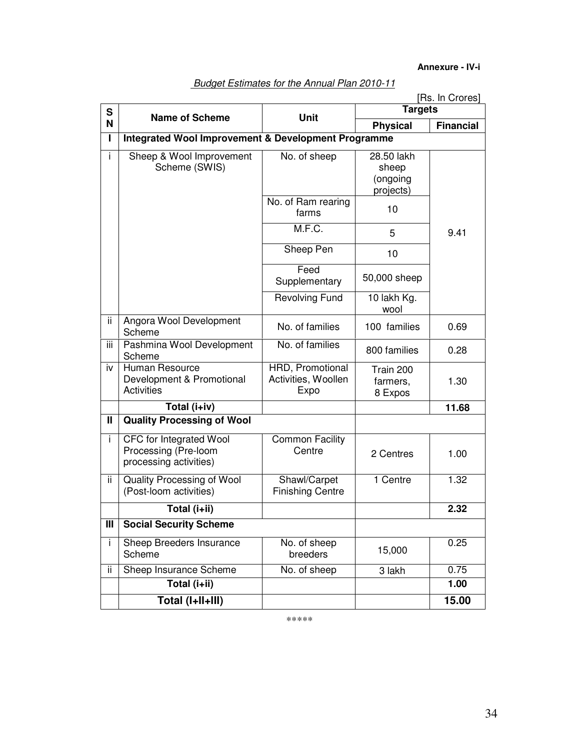**Annexure - IV-i**

| S            |                                                                           | <b>Targets</b>                                  | [Rs. In Crores]                              |                  |
|--------------|---------------------------------------------------------------------------|-------------------------------------------------|----------------------------------------------|------------------|
| N            | <b>Name of Scheme</b>                                                     | <b>Unit</b>                                     | <b>Physical</b>                              | <b>Financial</b> |
| L            | <b>Integrated Wool Improvement &amp; Development Programme</b>            |                                                 |                                              |                  |
| i.           | Sheep & Wool Improvement<br>Scheme (SWIS)                                 | No. of sheep                                    | 28.50 lakh<br>sheep<br>(ongoing<br>projects) |                  |
|              |                                                                           | No. of Ram rearing<br>farms                     | 10                                           |                  |
|              |                                                                           | M.F.C.                                          | 5                                            | 9.41             |
|              |                                                                           | Sheep Pen                                       | 10                                           |                  |
|              |                                                                           | Feed<br>Supplementary                           | 50,000 sheep                                 |                  |
|              |                                                                           | <b>Revolving Fund</b>                           | 10 lakh Kg.<br>wool                          |                  |
| ii           | Angora Wool Development<br>Scheme                                         | No. of families                                 | 100 families                                 | 0.69             |
| iii          | Pashmina Wool Development<br>Scheme                                       | No. of families                                 | 800 families                                 | 0.28             |
| iv           | Human Resource<br>Development & Promotional<br><b>Activities</b>          | HRD, Promotional<br>Activities, Woollen<br>Expo | Train 200<br>farmers,<br>8 Expos             | 1.30             |
|              | Total (i+iv)                                                              |                                                 |                                              | 11.68            |
| $\mathbf{I}$ | <b>Quality Processing of Wool</b>                                         |                                                 |                                              |                  |
| j.           | CFC for Integrated Wool<br>Processing (Pre-loom<br>processing activities) | <b>Common Facility</b><br>Centre                | 2 Centres                                    | 1.00             |
| ii           | Quality Processing of Wool<br>(Post-loom activities)                      | Shawl/Carpet<br><b>Finishing Centre</b>         | 1 Centre                                     | 1.32             |
|              | Total (i+ii)                                                              |                                                 |                                              | 2.32             |
| Ш            | <b>Social Security Scheme</b>                                             |                                                 |                                              |                  |
| İ.           | Sheep Breeders Insurance<br>Scheme                                        | No. of sheep<br>breeders                        | 15,000                                       | 0.25             |
| ii           | Sheep Insurance Scheme                                                    | No. of sheep                                    | 3 lakh                                       | 0.75             |
|              | Total (i+ii)                                                              |                                                 |                                              | 1.00             |
|              | Total (I+II+III)                                                          |                                                 |                                              | 15.00            |

Budget Estimates for the Annual Plan 2010-11

\*\*\*\*\*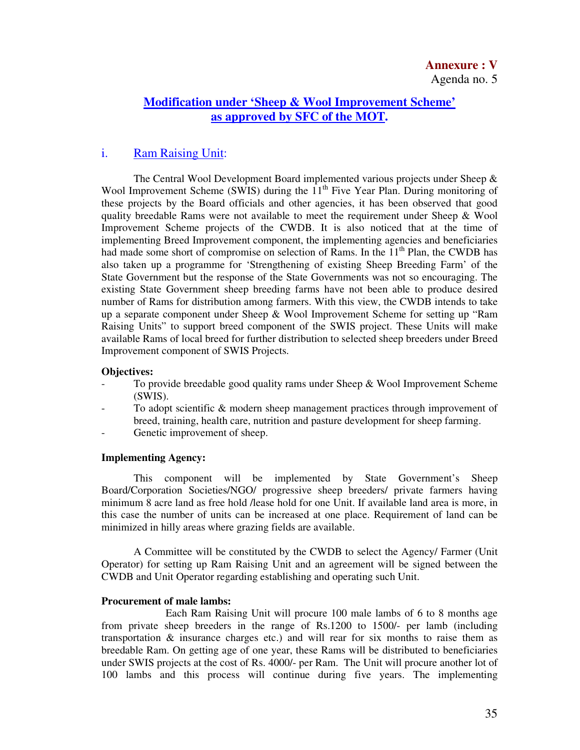## **Modification under 'Sheep & Wool Improvement Scheme' as approved by SFC of the MOT.**

## i. Ram Raising Unit:

The Central Wool Development Board implemented various projects under Sheep  $\&$ Wool Improvement Scheme (SWIS) during the 11<sup>th</sup> Five Year Plan. During monitoring of these projects by the Board officials and other agencies, it has been observed that good quality breedable Rams were not available to meet the requirement under Sheep & Wool Improvement Scheme projects of the CWDB. It is also noticed that at the time of implementing Breed Improvement component, the implementing agencies and beneficiaries had made some short of compromise on selection of Rams. In the  $11<sup>th</sup>$  Plan, the CWDB has also taken up a programme for 'Strengthening of existing Sheep Breeding Farm' of the State Government but the response of the State Governments was not so encouraging. The existing State Government sheep breeding farms have not been able to produce desired number of Rams for distribution among farmers. With this view, the CWDB intends to take up a separate component under Sheep & Wool Improvement Scheme for setting up "Ram Raising Units" to support breed component of the SWIS project. These Units will make available Rams of local breed for further distribution to selected sheep breeders under Breed Improvement component of SWIS Projects.

### **Objectives:**

- To provide breedable good quality rams under Sheep & Wool Improvement Scheme (SWIS).
- To adopt scientific & modern sheep management practices through improvement of breed, training, health care, nutrition and pasture development for sheep farming.
- Genetic improvement of sheep.

### **Implementing Agency:**

 This component will be implemented by State Government's Sheep Board/Corporation Societies/NGO/ progressive sheep breeders/ private farmers having minimum 8 acre land as free hold /lease hold for one Unit. If available land area is more, in this case the number of units can be increased at one place. Requirement of land can be minimized in hilly areas where grazing fields are available.

A Committee will be constituted by the CWDB to select the Agency/ Farmer (Unit Operator) for setting up Ram Raising Unit and an agreement will be signed between the CWDB and Unit Operator regarding establishing and operating such Unit.

### **Procurement of male lambs:**

 Each Ram Raising Unit will procure 100 male lambs of 6 to 8 months age from private sheep breeders in the range of Rs.1200 to 1500/- per lamb (including transportation  $\&$  insurance charges etc.) and will rear for six months to raise them as breedable Ram. On getting age of one year, these Rams will be distributed to beneficiaries under SWIS projects at the cost of Rs. 4000/- per Ram. The Unit will procure another lot of 100 lambs and this process will continue during five years. The implementing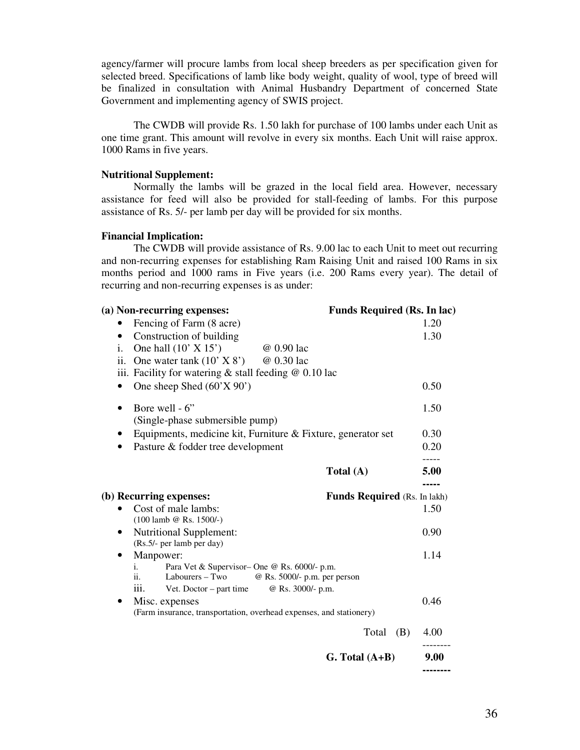agency/farmer will procure lambs from local sheep breeders as per specification given for selected breed. Specifications of lamb like body weight, quality of wool, type of breed will be finalized in consultation with Animal Husbandry Department of concerned State Government and implementing agency of SWIS project.

The CWDB will provide Rs. 1.50 lakh for purchase of 100 lambs under each Unit as one time grant. This amount will revolve in every six months. Each Unit will raise approx. 1000 Rams in five years.

#### **Nutritional Supplement:**

 Normally the lambs will be grazed in the local field area. However, necessary assistance for feed will also be provided for stall-feeding of lambs. For this purpose assistance of Rs. 5/- per lamb per day will be provided for six months.

#### **Financial Implication:**

 The CWDB will provide assistance of Rs. 9.00 lac to each Unit to meet out recurring and non-recurring expenses for establishing Ram Raising Unit and raised 100 Rams in six months period and 1000 rams in Five years (i.e. 200 Rams every year). The detail of recurring and non-recurring expenses is as under:

| (a) Non-recurring expenses:                                                                                                                                           | <b>Funds Required (Rs. In lac)</b>  |           |
|-----------------------------------------------------------------------------------------------------------------------------------------------------------------------|-------------------------------------|-----------|
| Fencing of Farm (8 acre)                                                                                                                                              |                                     | 1.20      |
| Construction of building<br>٠                                                                                                                                         |                                     | 1.30      |
| One hall $(10' \times 15')$<br>i.<br>@ 0.90 lac                                                                                                                       |                                     |           |
| ii.<br>One water tank $(10' \times 8')$<br>@ 0.30 lac                                                                                                                 |                                     |           |
| iii. Facility for watering $&$ stall feeding $&$ 0.10 lac                                                                                                             |                                     |           |
| One sheep Shed $(60'X 90')$                                                                                                                                           |                                     | 0.50      |
| Bore well - 6"<br>$\bullet$                                                                                                                                           |                                     | 1.50      |
| (Single-phase submersible pump)                                                                                                                                       |                                     |           |
| Equipments, medicine kit, Furniture & Fixture, generator set                                                                                                          |                                     | 0.30      |
| Pasture & fodder tree development                                                                                                                                     |                                     | 0.20      |
|                                                                                                                                                                       | Total (A)                           | 5.00      |
| (b) Recurring expenses:<br>Cost of male lambs:<br>$(100$ lamb @ Rs. 1500/-)                                                                                           | <b>Funds Required</b> (Rs. In lakh) | 1.50      |
| <b>Nutritional Supplement:</b><br>$\bullet$<br>(Rs.5/- per lamb per day)                                                                                              |                                     | 0.90      |
| Manpower:<br>$\bullet$                                                                                                                                                |                                     | 1.14      |
| Para Vet & Supervisor-One @ Rs. 6000/- p.m.<br>i.<br>Labourers – Two<br>@ Rs. 5000/- p.m. per person<br>ii.<br>iii.<br>@ Rs. 3000/- p.m.<br>Vet. Doctor $-$ part time |                                     |           |
| Misc. expenses                                                                                                                                                        |                                     | 0.46      |
| (Farm insurance, transportation, overhead expenses, and stationery)                                                                                                   |                                     |           |
|                                                                                                                                                                       | (B)<br>Total                        | 4.00      |
|                                                                                                                                                                       | $G. Total (A+B)$                    | 9.00<br>. |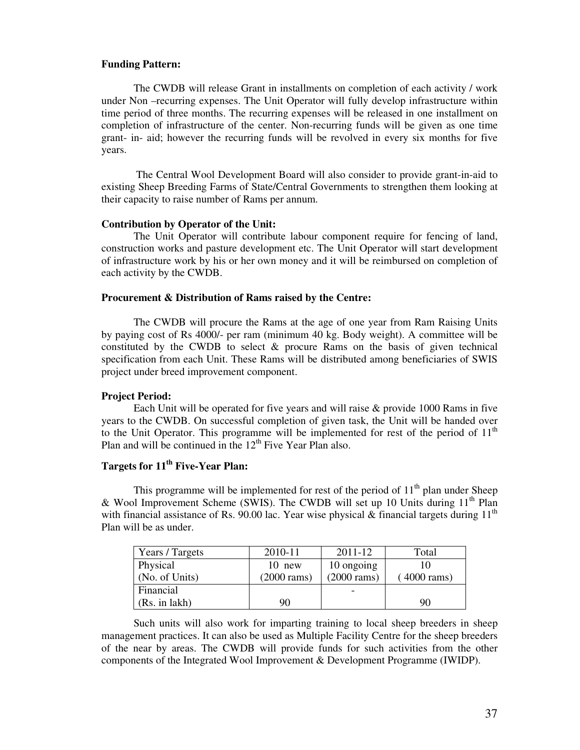### **Funding Pattern:**

 The CWDB will release Grant in installments on completion of each activity / work under Non –recurring expenses. The Unit Operator will fully develop infrastructure within time period of three months. The recurring expenses will be released in one installment on completion of infrastructure of the center. Non-recurring funds will be given as one time grant- in- aid; however the recurring funds will be revolved in every six months for five years.

 The Central Wool Development Board will also consider to provide grant-in-aid to existing Sheep Breeding Farms of State/Central Governments to strengthen them looking at their capacity to raise number of Rams per annum.

### **Contribution by Operator of the Unit:**

 The Unit Operator will contribute labour component require for fencing of land, construction works and pasture development etc. The Unit Operator will start development of infrastructure work by his or her own money and it will be reimbursed on completion of each activity by the CWDB.

#### **Procurement & Distribution of Rams raised by the Centre:**

The CWDB will procure the Rams at the age of one year from Ram Raising Units by paying cost of Rs 4000/- per ram (minimum 40 kg. Body weight). A committee will be constituted by the CWDB to select & procure Rams on the basis of given technical specification from each Unit. These Rams will be distributed among beneficiaries of SWIS project under breed improvement component.

### **Project Period:**

 Each Unit will be operated for five years and will raise & provide 1000 Rams in five years to the CWDB. On successful completion of given task, the Unit will be handed over to the Unit Operator. This programme will be implemented for rest of the period of  $11<sup>th</sup>$ Plan and will be continued in the  $12<sup>th</sup>$  Five Year Plan also.

# **Targets for 11th Five-Year Plan:**

This programme will be implemented for rest of the period of  $11<sup>th</sup>$  plan under Sheep & Wool Improvement Scheme (SWIS). The CWDB will set up 10 Units during 11<sup>th</sup> Plan with financial assistance of Rs. 90.00 lac. Year wise physical & financial targets during  $11<sup>th</sup>$ Plan will be as under.

| Years / Targets | 2010-11               | 2011-12       | Total                 |
|-----------------|-----------------------|---------------|-----------------------|
| Physical        | $10$ new              | 10 ongoing    |                       |
| (No. of Units)  | $(2000 \text{ rams})$ | $(2000$ rams) | $(4000 \text{ rams})$ |
| Financial       |                       |               |                       |
| (Rs. in lakh)   | 90                    |               | 90                    |

 Such units will also work for imparting training to local sheep breeders in sheep management practices. It can also be used as Multiple Facility Centre for the sheep breeders of the near by areas. The CWDB will provide funds for such activities from the other components of the Integrated Wool Improvement & Development Programme (IWIDP).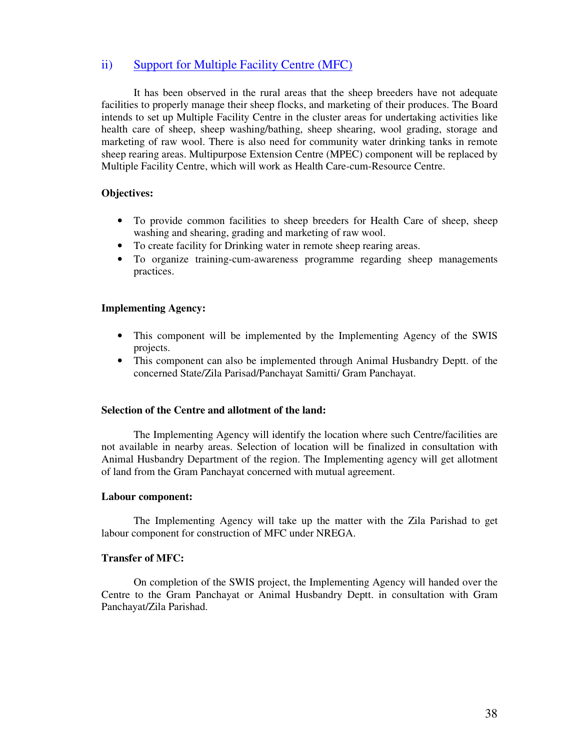## ii) Support for Multiple Facility Centre (MFC)

It has been observed in the rural areas that the sheep breeders have not adequate facilities to properly manage their sheep flocks, and marketing of their produces. The Board intends to set up Multiple Facility Centre in the cluster areas for undertaking activities like health care of sheep, sheep washing/bathing, sheep shearing, wool grading, storage and marketing of raw wool. There is also need for community water drinking tanks in remote sheep rearing areas. Multipurpose Extension Centre (MPEC) component will be replaced by Multiple Facility Centre, which will work as Health Care-cum-Resource Centre.

### **Objectives:**

- To provide common facilities to sheep breeders for Health Care of sheep, sheep washing and shearing, grading and marketing of raw wool.
- To create facility for Drinking water in remote sheep rearing areas.
- To organize training-cum-awareness programme regarding sheep managements practices.

### **Implementing Agency:**

- This component will be implemented by the Implementing Agency of the SWIS projects.
- This component can also be implemented through Animal Husbandry Deptt. of the concerned State/Zila Parisad/Panchayat Samitti/ Gram Panchayat.

### **Selection of the Centre and allotment of the land:**

 The Implementing Agency will identify the location where such Centre/facilities are not available in nearby areas. Selection of location will be finalized in consultation with Animal Husbandry Department of the region. The Implementing agency will get allotment of land from the Gram Panchayat concerned with mutual agreement.

### **Labour component:**

 The Implementing Agency will take up the matter with the Zila Parishad to get labour component for construction of MFC under NREGA.

### **Transfer of MFC:**

 On completion of the SWIS project, the Implementing Agency will handed over the Centre to the Gram Panchayat or Animal Husbandry Deptt. in consultation with Gram Panchayat/Zila Parishad.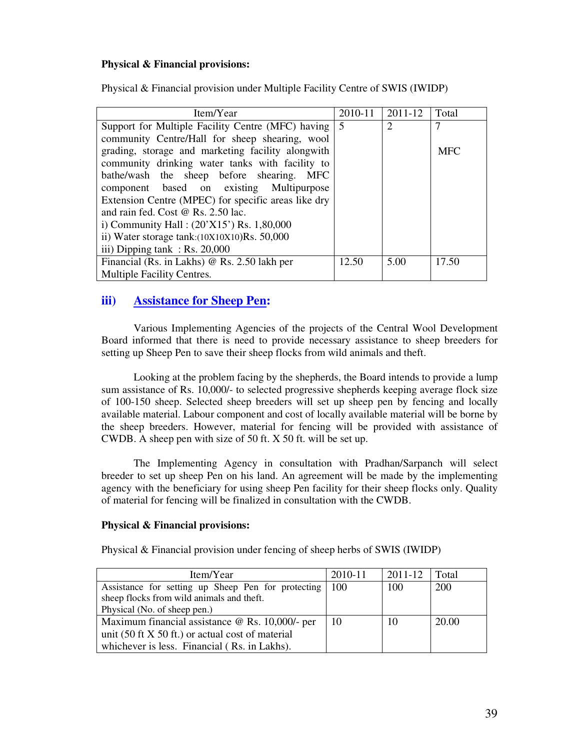### **Physical & Financial provisions:**

Physical & Financial provision under Multiple Facility Centre of SWIS (IWIDP)

| Item/Year                                           | 2010-11 | 2011-12        | Total      |
|-----------------------------------------------------|---------|----------------|------------|
| Support for Multiple Facility Centre (MFC) having 5 |         | $\overline{2}$ | 7          |
| community Centre/Hall for sheep shearing, wool      |         |                |            |
| grading, storage and marketing facility alongwith   |         |                | <b>MFC</b> |
| community drinking water tanks with facility to     |         |                |            |
| bathe/wash the sheep before shearing. MFC           |         |                |            |
| component based on existing Multipurpose            |         |                |            |
| Extension Centre (MPEC) for specific areas like dry |         |                |            |
| and rain fed. Cost $@$ Rs. 2.50 lac.                |         |                |            |
| i) Community Hall: $(20'X15')$ Rs. 1,80,000         |         |                |            |
| ii) Water storage tank: $(10X10X10)$ Rs. 50,000     |         |                |            |
| iii) Dipping tank : $Rs. 20,000$                    |         |                |            |
| Financial (Rs. in Lakhs) $\omega$ Rs. 2.50 lakh per | 12.50   | 5.00           | 17.50      |
| <b>Multiple Facility Centres.</b>                   |         |                |            |

## **iii) Assistance for Sheep Pen:**

 Various Implementing Agencies of the projects of the Central Wool Development Board informed that there is need to provide necessary assistance to sheep breeders for setting up Sheep Pen to save their sheep flocks from wild animals and theft.

 Looking at the problem facing by the shepherds, the Board intends to provide a lump sum assistance of Rs. 10,000/- to selected progressive shepherds keeping average flock size of 100-150 sheep. Selected sheep breeders will set up sheep pen by fencing and locally available material. Labour component and cost of locally available material will be borne by the sheep breeders. However, material for fencing will be provided with assistance of CWDB. A sheep pen with size of 50 ft. X 50 ft. will be set up.

 The Implementing Agency in consultation with Pradhan/Sarpanch will select breeder to set up sheep Pen on his land. An agreement will be made by the implementing agency with the beneficiary for using sheep Pen facility for their sheep flocks only. Quality of material for fencing will be finalized in consultation with the CWDB.

### **Physical & Financial provisions:**

Physical & Financial provision under fencing of sheep herbs of SWIS (IWIDP)

| Item/Year                                          | 2010-11 | 2011-12 | Total |
|----------------------------------------------------|---------|---------|-------|
| Assistance for setting up Sheep Pen for protecting | 100     | 100     | 200   |
| sheep flocks from wild animals and theft.          |         |         |       |
| Physical (No. of sheep pen.)                       |         |         |       |
| Maximum financial assistance @ Rs. 10,000/- per    | 10      | 10      | 20.00 |
| unit (50 ft $X$ 50 ft.) or actual cost of material |         |         |       |
| whichever is less. Financial (Rs. in Lakhs).       |         |         |       |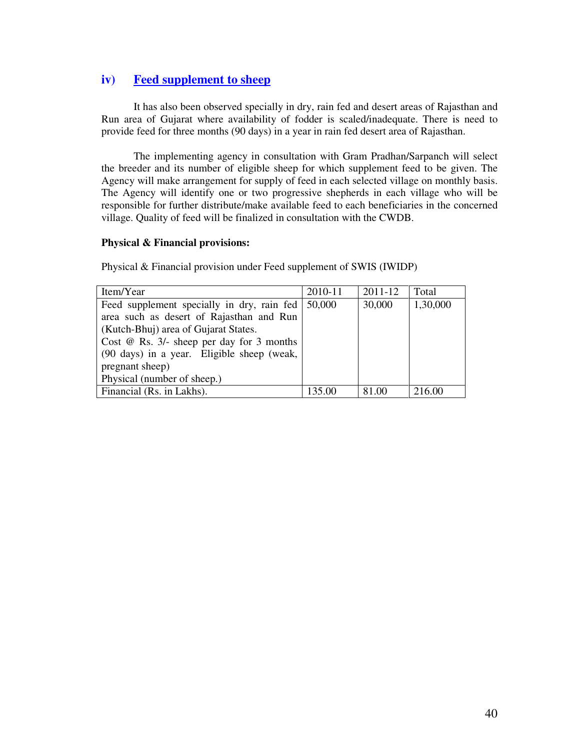## **iv) Feed supplement to sheep**

 It has also been observed specially in dry, rain fed and desert areas of Rajasthan and Run area of Gujarat where availability of fodder is scaled/inadequate. There is need to provide feed for three months (90 days) in a year in rain fed desert area of Rajasthan.

 The implementing agency in consultation with Gram Pradhan/Sarpanch will select the breeder and its number of eligible sheep for which supplement feed to be given. The Agency will make arrangement for supply of feed in each selected village on monthly basis. The Agency will identify one or two progressive shepherds in each village who will be responsible for further distribute/make available feed to each beneficiaries in the concerned village. Quality of feed will be finalized in consultation with the CWDB.

#### **Physical & Financial provisions:**

Physical & Financial provision under Feed supplement of SWIS (IWIDP)

| Item/Year                                   | 2010-11 | 2011-12 | Total    |
|---------------------------------------------|---------|---------|----------|
| Feed supplement specially in dry, rain fed  | 50,000  | 30,000  | 1,30,000 |
| area such as desert of Rajasthan and Run    |         |         |          |
| (Kutch-Bhuj) area of Gujarat States.        |         |         |          |
| Cost $@$ Rs. 3/- sheep per day for 3 months |         |         |          |
| (90 days) in a year. Eligible sheep (weak,  |         |         |          |
| pregnant sheep)                             |         |         |          |
| Physical (number of sheep.)                 |         |         |          |
| Financial (Rs. in Lakhs).                   | 135.00  | 81.00   | 216.00   |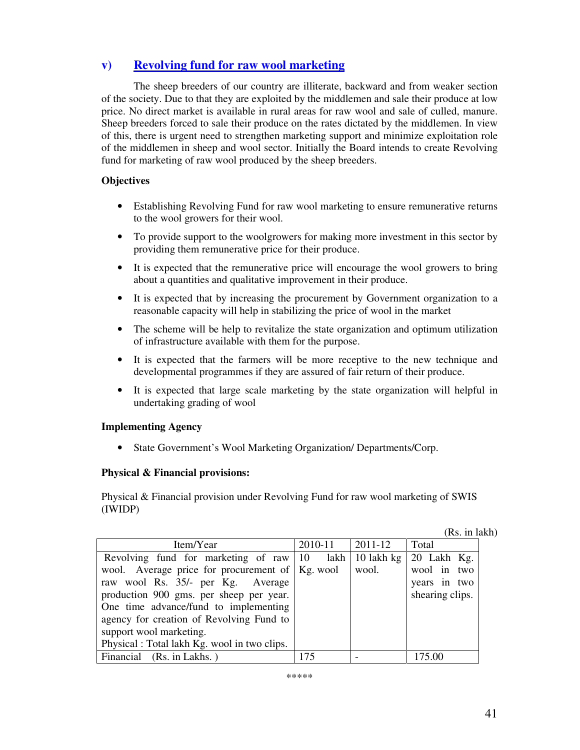# **v) Revolving fund for raw wool marketing**

 The sheep breeders of our country are illiterate, backward and from weaker section of the society. Due to that they are exploited by the middlemen and sale their produce at low price. No direct market is available in rural areas for raw wool and sale of culled, manure. Sheep breeders forced to sale their produce on the rates dictated by the middlemen. In view of this, there is urgent need to strengthen marketing support and minimize exploitation role of the middlemen in sheep and wool sector. Initially the Board intends to create Revolving fund for marketing of raw wool produced by the sheep breeders.

### **Objectives**

- Establishing Revolving Fund for raw wool marketing to ensure remunerative returns to the wool growers for their wool.
- To provide support to the woolgrowers for making more investment in this sector by providing them remunerative price for their produce.
- It is expected that the remunerative price will encourage the wool growers to bring about a quantities and qualitative improvement in their produce.
- It is expected that by increasing the procurement by Government organization to a reasonable capacity will help in stabilizing the price of wool in the market
- The scheme will be help to revitalize the state organization and optimum utilization of infrastructure available with them for the purpose.
- It is expected that the farmers will be more receptive to the new technique and developmental programmes if they are assured of fair return of their produce.
- It is expected that large scale marketing by the state organization will helpful in undertaking grading of wool

### **Implementing Agency**

• State Government's Wool Marketing Organization/ Departments/Corp.

### **Physical & Financial provisions:**

Physical & Financial provision under Revolving Fund for raw wool marketing of SWIS (IWIDP)

|  |  | (Rs. in lakh) |
|--|--|---------------|
|--|--|---------------|

| Item/Year                                         | 2010-11 | 2011-12             | Total               |
|---------------------------------------------------|---------|---------------------|---------------------|
| Revolving fund for marketing of raw $ 10\rangle$  |         | $lakh$   10 lakh kg | $\vert$ 20 Lakh Kg. |
| wool. Average price for procurement of   Kg. wool |         | wool.               | wool in two         |
| raw wool Rs. 35/- per Kg. Average                 |         |                     | years in two        |
| production 900 gms. per sheep per year.           |         |                     | shearing clips.     |
| One time advance/fund to implementing             |         |                     |                     |
| agency for creation of Revolving Fund to          |         |                     |                     |
| support wool marketing.                           |         |                     |                     |
| Physical : Total lakh Kg. wool in two clips.      |         |                     |                     |
| Financial (Rs. in Lakhs.)                         | 175     |                     |                     |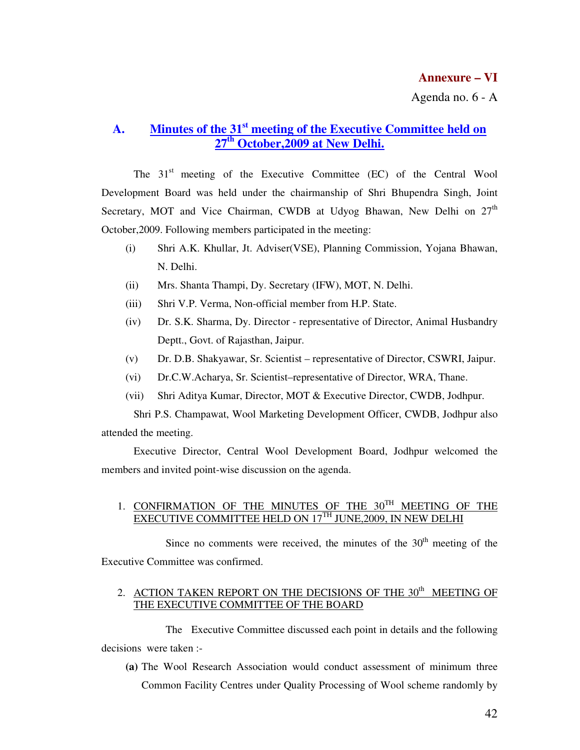# **A. Minutes of the 31st meeting of the Executive Committee held on 27th October,2009 at New Delhi.**

The 31<sup>st</sup> meeting of the Executive Committee (EC) of the Central Wool Development Board was held under the chairmanship of Shri Bhupendra Singh, Joint Secretary, MOT and Vice Chairman, CWDB at Udyog Bhawan, New Delhi on  $27<sup>th</sup>$ October,2009. Following members participated in the meeting:

- (i) Shri A.K. Khullar, Jt. Adviser(VSE), Planning Commission, Yojana Bhawan, N. Delhi.
- (ii) Mrs. Shanta Thampi, Dy. Secretary (IFW), MOT, N. Delhi.
- (iii) Shri V.P. Verma, Non-official member from H.P. State.
- (iv) Dr. S.K. Sharma, Dy. Director representative of Director, Animal Husbandry Deptt., Govt. of Rajasthan, Jaipur.
- (v) Dr. D.B. Shakyawar, Sr. Scientist representative of Director, CSWRI, Jaipur.
- (vi) Dr.C.W.Acharya, Sr. Scientist–representative of Director, WRA, Thane.
- (vii) Shri Aditya Kumar, Director, MOT & Executive Director, CWDB, Jodhpur.

Shri P.S. Champawat, Wool Marketing Development Officer, CWDB, Jodhpur also attended the meeting.

 Executive Director, Central Wool Development Board, Jodhpur welcomed the members and invited point-wise discussion on the agenda.

### 1. CONFIRMATION OF THE MINUTES OF THE 30<sup>TH</sup> MEETING OF THE EXECUTIVE COMMITTEE HELD ON 17TH JUNE,2009, IN NEW DELHI

Since no comments were received, the minutes of the  $30<sup>th</sup>$  meeting of the Executive Committee was confirmed.

## 2. ACTION TAKEN REPORT ON THE DECISIONS OF THE  $30<sup>th</sup>$  MEETING OF THE EXECUTIVE COMMITTEE OF THE BOARD

 The Executive Committee discussed each point in details and the following decisions were taken :-

**(a)** The Wool Research Association would conduct assessment of minimum three Common Facility Centres under Quality Processing of Wool scheme randomly by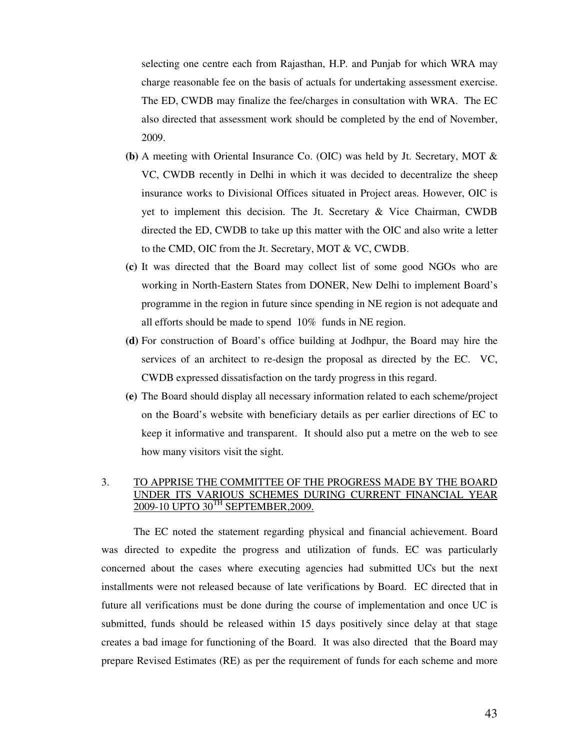selecting one centre each from Rajasthan, H.P. and Punjab for which WRA may charge reasonable fee on the basis of actuals for undertaking assessment exercise. The ED, CWDB may finalize the fee/charges in consultation with WRA. The EC also directed that assessment work should be completed by the end of November, 2009.

- **(b)** A meeting with Oriental Insurance Co. (OIC) was held by Jt. Secretary, MOT & VC, CWDB recently in Delhi in which it was decided to decentralize the sheep insurance works to Divisional Offices situated in Project areas. However, OIC is yet to implement this decision. The Jt. Secretary & Vice Chairman, CWDB directed the ED, CWDB to take up this matter with the OIC and also write a letter to the CMD, OIC from the Jt. Secretary, MOT & VC, CWDB.
- **(c)** It was directed that the Board may collect list of some good NGOs who are working in North-Eastern States from DONER, New Delhi to implement Board's programme in the region in future since spending in NE region is not adequate and all efforts should be made to spend 10% funds in NE region.
- **(d)** For construction of Board's office building at Jodhpur, the Board may hire the services of an architect to re-design the proposal as directed by the EC. VC, CWDB expressed dissatisfaction on the tardy progress in this regard.
- **(e)** The Board should display all necessary information related to each scheme/project on the Board's website with beneficiary details as per earlier directions of EC to keep it informative and transparent. It should also put a metre on the web to see how many visitors visit the sight.

### 3. TO APPRISE THE COMMITTEE OF THE PROGRESS MADE BY THE BOARD UNDER ITS VARIOUS SCHEMES DURING CURRENT FINANCIAL YEAR 2009-10 UPTO 30TH SEPTEMBER,2009.

The EC noted the statement regarding physical and financial achievement. Board was directed to expedite the progress and utilization of funds. EC was particularly concerned about the cases where executing agencies had submitted UCs but the next installments were not released because of late verifications by Board. EC directed that in future all verifications must be done during the course of implementation and once UC is submitted, funds should be released within 15 days positively since delay at that stage creates a bad image for functioning of the Board. It was also directed that the Board may prepare Revised Estimates (RE) as per the requirement of funds for each scheme and more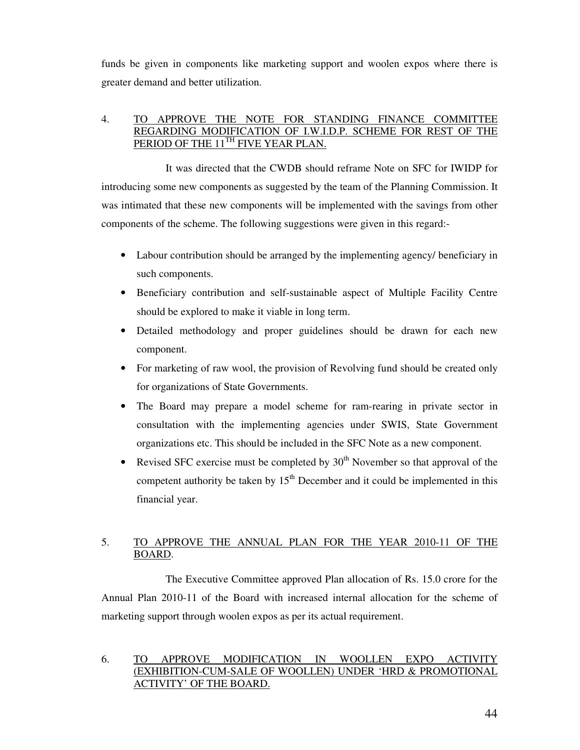funds be given in components like marketing support and woolen expos where there is greater demand and better utilization.

### 4. TO APPROVE THE NOTE FOR STANDING FINANCE COMMITTEE REGARDING MODIFICATION OF I.W.I.D.P. SCHEME FOR REST OF THE PERIOD OF THE 11<sup>TH</sup> FIVE YEAR PLAN.

 It was directed that the CWDB should reframe Note on SFC for IWIDP for introducing some new components as suggested by the team of the Planning Commission. It was intimated that these new components will be implemented with the savings from other components of the scheme. The following suggestions were given in this regard:-

- Labour contribution should be arranged by the implementing agency/ beneficiary in such components.
- Beneficiary contribution and self-sustainable aspect of Multiple Facility Centre should be explored to make it viable in long term.
- Detailed methodology and proper guidelines should be drawn for each new component.
- For marketing of raw wool, the provision of Revolving fund should be created only for organizations of State Governments.
- The Board may prepare a model scheme for ram-rearing in private sector in consultation with the implementing agencies under SWIS, State Government organizations etc. This should be included in the SFC Note as a new component.
- Revised SFC exercise must be completed by  $30<sup>th</sup>$  November so that approval of the competent authority be taken by  $15<sup>th</sup>$  December and it could be implemented in this financial year.

## 5. TO APPROVE THE ANNUAL PLAN FOR THE YEAR 2010-11 OF THE BOARD.

 The Executive Committee approved Plan allocation of Rs. 15.0 crore for the Annual Plan 2010-11 of the Board with increased internal allocation for the scheme of marketing support through woolen expos as per its actual requirement.

### 6. TO APPROVE MODIFICATION IN WOOLLEN EXPO (EXHIBITION-CUM-SALE OF WOOLLEN) UNDER 'HRD & PROMOTIONAL ACTIVITY' OF THE BOARD.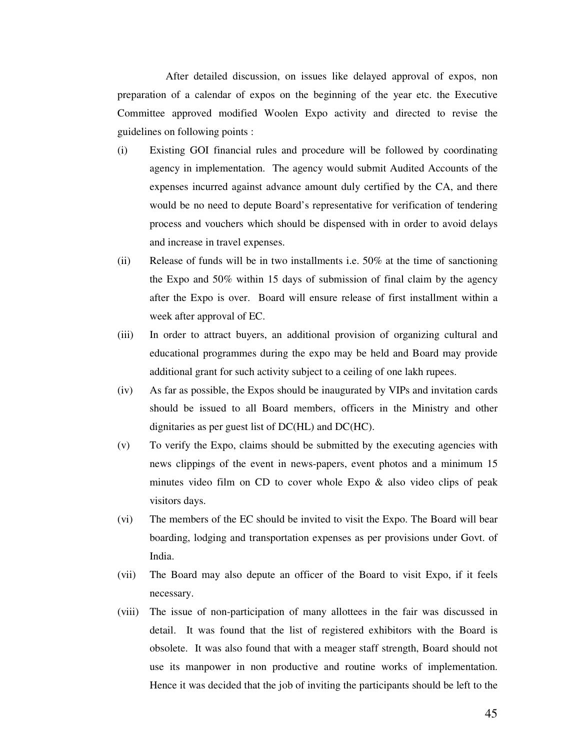After detailed discussion, on issues like delayed approval of expos, non preparation of a calendar of expos on the beginning of the year etc. the Executive Committee approved modified Woolen Expo activity and directed to revise the guidelines on following points :

- (i) Existing GOI financial rules and procedure will be followed by coordinating agency in implementation. The agency would submit Audited Accounts of the expenses incurred against advance amount duly certified by the CA, and there would be no need to depute Board's representative for verification of tendering process and vouchers which should be dispensed with in order to avoid delays and increase in travel expenses.
- (ii) Release of funds will be in two installments i.e. 50% at the time of sanctioning the Expo and 50% within 15 days of submission of final claim by the agency after the Expo is over. Board will ensure release of first installment within a week after approval of EC.
- (iii) In order to attract buyers, an additional provision of organizing cultural and educational programmes during the expo may be held and Board may provide additional grant for such activity subject to a ceiling of one lakh rupees.
- (iv) As far as possible, the Expos should be inaugurated by VIPs and invitation cards should be issued to all Board members, officers in the Ministry and other dignitaries as per guest list of DC(HL) and DC(HC).
- (v) To verify the Expo, claims should be submitted by the executing agencies with news clippings of the event in news-papers, event photos and a minimum 15 minutes video film on CD to cover whole Expo & also video clips of peak visitors days.
- (vi) The members of the EC should be invited to visit the Expo. The Board will bear boarding, lodging and transportation expenses as per provisions under Govt. of India.
- (vii) The Board may also depute an officer of the Board to visit Expo, if it feels necessary.
- (viii) The issue of non-participation of many allottees in the fair was discussed in detail. It was found that the list of registered exhibitors with the Board is obsolete. It was also found that with a meager staff strength, Board should not use its manpower in non productive and routine works of implementation. Hence it was decided that the job of inviting the participants should be left to the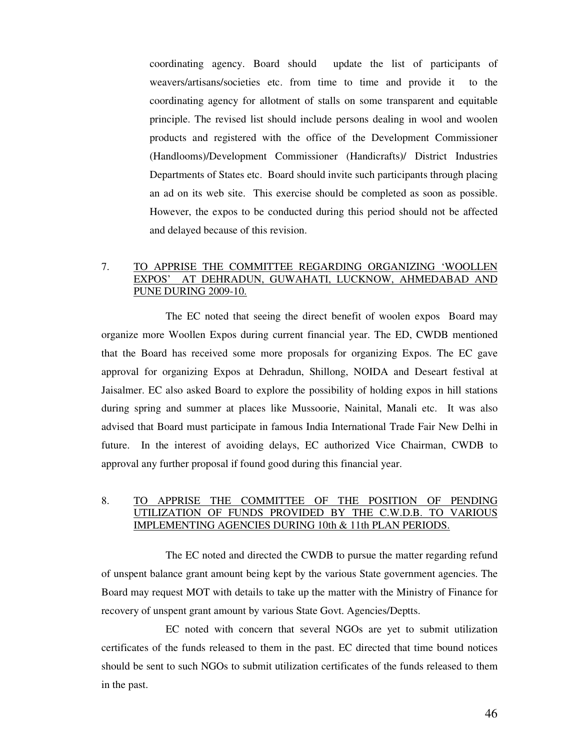coordinating agency. Board should update the list of participants of weavers/artisans/societies etc. from time to time and provide it to the coordinating agency for allotment of stalls on some transparent and equitable principle. The revised list should include persons dealing in wool and woolen products and registered with the office of the Development Commissioner (Handlooms)/Development Commissioner (Handicrafts)/ District Industries Departments of States etc. Board should invite such participants through placing an ad on its web site. This exercise should be completed as soon as possible. However, the expos to be conducted during this period should not be affected and delayed because of this revision.

### 7. TO APPRISE THE COMMITTEE REGARDING ORGANIZING 'WOOLLEN EXPOS' AT DEHRADUN, GUWAHATI, LUCKNOW, AHMEDABAD AND PUNE DURING 2009-10.

 The EC noted that seeing the direct benefit of woolen expos Board may organize more Woollen Expos during current financial year. The ED, CWDB mentioned that the Board has received some more proposals for organizing Expos. The EC gave approval for organizing Expos at Dehradun, Shillong, NOIDA and Deseart festival at Jaisalmer. EC also asked Board to explore the possibility of holding expos in hill stations during spring and summer at places like Mussoorie, Nainital, Manali etc. It was also advised that Board must participate in famous India International Trade Fair New Delhi in future. In the interest of avoiding delays, EC authorized Vice Chairman, CWDB to approval any further proposal if found good during this financial year.

### 8. TO APPRISE THE COMMITTEE OF THE POSITION OF PENDING UTILIZATION OF FUNDS PROVIDED BY THE C.W.D.B. TO VARIOUS IMPLEMENTING AGENCIES DURING 10th & 11th PLAN PERIODS.

 The EC noted and directed the CWDB to pursue the matter regarding refund of unspent balance grant amount being kept by the various State government agencies. The Board may request MOT with details to take up the matter with the Ministry of Finance for recovery of unspent grant amount by various State Govt. Agencies/Deptts.

EC noted with concern that several NGOs are yet to submit utilization certificates of the funds released to them in the past. EC directed that time bound notices should be sent to such NGOs to submit utilization certificates of the funds released to them in the past.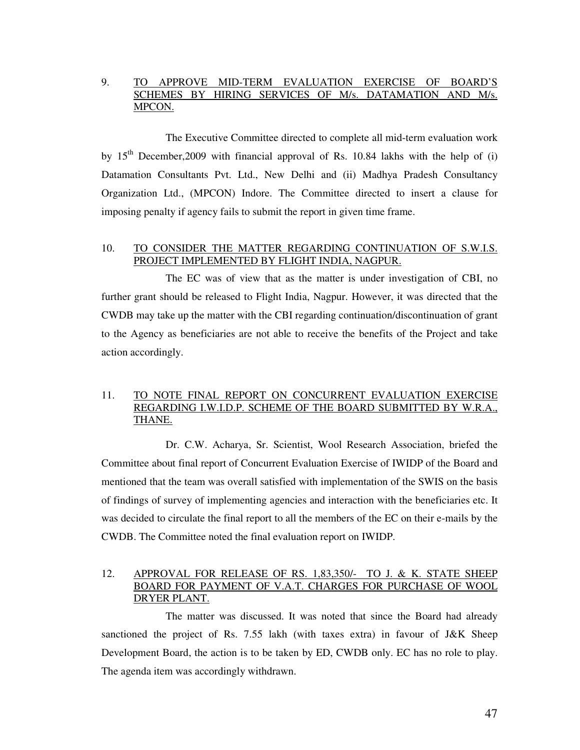### 9. TO APPROVE MID-TERM EVALUATION EXERCISE OF BOARD'S SCHEMES BY HIRING SERVICES OF M/s. DATAMATION AND M/s. MPCON.

 The Executive Committee directed to complete all mid-term evaluation work by  $15<sup>th</sup>$  December, 2009 with financial approval of Rs. 10.84 lakhs with the help of (i) Datamation Consultants Pvt. Ltd., New Delhi and (ii) Madhya Pradesh Consultancy Organization Ltd., (MPCON) Indore. The Committee directed to insert a clause for imposing penalty if agency fails to submit the report in given time frame.

### 10. TO CONSIDER THE MATTER REGARDING CONTINUATION OF S.W.I.S. PROJECT IMPLEMENTED BY FLIGHT INDIA, NAGPUR.

 The EC was of view that as the matter is under investigation of CBI, no further grant should be released to Flight India, Nagpur. However, it was directed that the CWDB may take up the matter with the CBI regarding continuation/discontinuation of grant to the Agency as beneficiaries are not able to receive the benefits of the Project and take action accordingly.

### 11. TO NOTE FINAL REPORT ON CONCURRENT EVALUATION EXERCISE REGARDING I.W.I.D.P. SCHEME OF THE BOARD SUBMITTED BY W.R.A., THANE.

 Dr. C.W. Acharya, Sr. Scientist, Wool Research Association, briefed the Committee about final report of Concurrent Evaluation Exercise of IWIDP of the Board and mentioned that the team was overall satisfied with implementation of the SWIS on the basis of findings of survey of implementing agencies and interaction with the beneficiaries etc. It was decided to circulate the final report to all the members of the EC on their e-mails by the CWDB. The Committee noted the final evaluation report on IWIDP.

### 12. APPROVAL FOR RELEASE OF RS. 1,83,350/- TO J. & K. STATE SHEEP BOARD FOR PAYMENT OF V.A.T. CHARGES FOR PURCHASE OF WOOL DRYER PLANT.

 The matter was discussed. It was noted that since the Board had already sanctioned the project of Rs. 7.55 lakh (with taxes extra) in favour of J&K Sheep Development Board, the action is to be taken by ED, CWDB only. EC has no role to play. The agenda item was accordingly withdrawn.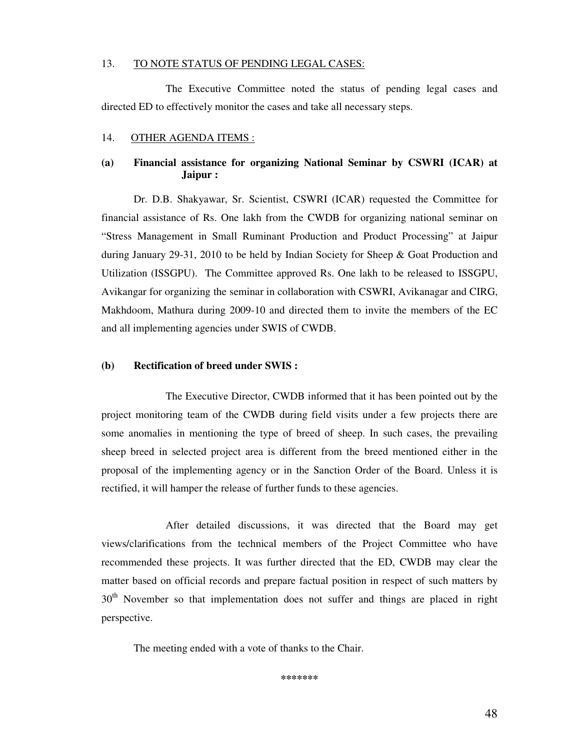#### 13. TO NOTE STATUS OF PENDING LEGAL CASES:

 The Executive Committee noted the status of pending legal cases and directed ED to effectively monitor the cases and take all necessary steps.

#### 14. OTHER AGENDA ITEMS :

### **(a) Financial assistance for organizing National Seminar by CSWRI (ICAR) at Jaipur :**

 Dr. D.B. Shakyawar, Sr. Scientist, CSWRI (ICAR) requested the Committee for financial assistance of Rs. One lakh from the CWDB for organizing national seminar on "Stress Management in Small Ruminant Production and Product Processing" at Jaipur during January 29-31, 2010 to be held by Indian Society for Sheep & Goat Production and Utilization (ISSGPU). The Committee approved Rs. One lakh to be released to ISSGPU, Avikangar for organizing the seminar in collaboration with CSWRI, Avikanagar and CIRG, Makhdoom, Mathura during 2009-10 and directed them to invite the members of the EC and all implementing agencies under SWIS of CWDB.

#### **(b) Rectification of breed under SWIS :**

 The Executive Director, CWDB informed that it has been pointed out by the project monitoring team of the CWDB during field visits under a few projects there are some anomalies in mentioning the type of breed of sheep. In such cases, the prevailing sheep breed in selected project area is different from the breed mentioned either in the proposal of the implementing agency or in the Sanction Order of the Board. Unless it is rectified, it will hamper the release of further funds to these agencies.

 After detailed discussions, it was directed that the Board may get views/clarifications from the technical members of the Project Committee who have recommended these projects. It was further directed that the ED, CWDB may clear the matter based on official records and prepare factual position in respect of such matters by  $30<sup>th</sup>$  November so that implementation does not suffer and things are placed in right perspective.

The meeting ended with a vote of thanks to the Chair.

**\*\*\*\*\*\*\***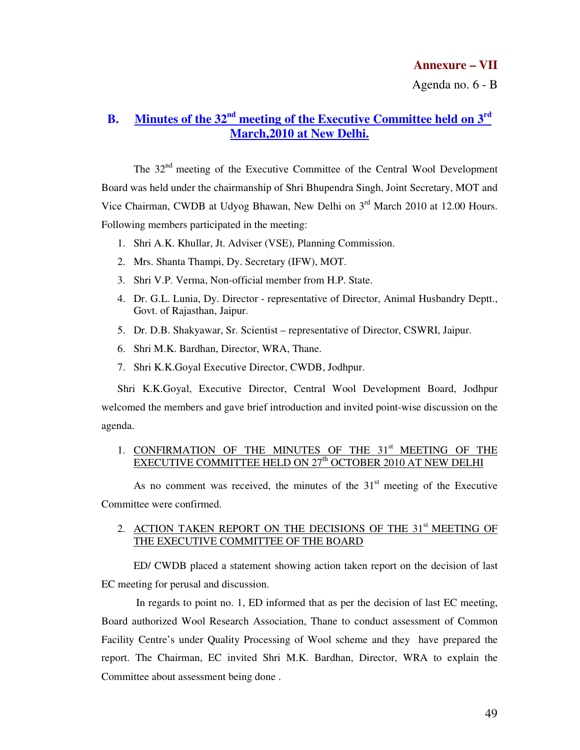Agenda no. 6 - B

# **B. Minutes of the 32nd meeting of the Executive Committee held on 3rd March,2010 at New Delhi.**

The 32<sup>nd</sup> meeting of the Executive Committee of the Central Wool Development Board was held under the chairmanship of Shri Bhupendra Singh, Joint Secretary, MOT and Vice Chairman, CWDB at Udyog Bhawan, New Delhi on 3<sup>rd</sup> March 2010 at 12.00 Hours. Following members participated in the meeting:

- 1. Shri A.K. Khullar, Jt. Adviser (VSE), Planning Commission.
- 2. Mrs. Shanta Thampi, Dy. Secretary (IFW), MOT.
- 3. Shri V.P. Verma, Non-official member from H.P. State.
- 4. Dr. G.L. Lunia, Dy. Director representative of Director, Animal Husbandry Deptt., Govt. of Rajasthan, Jaipur.
- 5. Dr. D.B. Shakyawar, Sr. Scientist representative of Director, CSWRI, Jaipur.
- 6. Shri M.K. Bardhan, Director, WRA, Thane.
- 7. Shri K.K.Goyal Executive Director, CWDB, Jodhpur.

Shri K.K.Goyal, Executive Director, Central Wool Development Board, Jodhpur welcomed the members and gave brief introduction and invited point-wise discussion on the agenda.

### 1. CONFIRMATION OF THE MINUTES OF THE 31<sup>st</sup> MEETING OF THE EXECUTIVE COMMITTEE HELD ON 27<sup>th</sup> OCTOBER 2010 AT NEW DELHI

As no comment was received, the minutes of the  $31<sup>st</sup>$  meeting of the Executive Committee were confirmed.

### 2. ACTION TAKEN REPORT ON THE DECISIONS OF THE 31<sup>st</sup> MEETING OF THE EXECUTIVE COMMITTEE OF THE BOARD

 ED/ CWDB placed a statement showing action taken report on the decision of last EC meeting for perusal and discussion.

 In regards to point no. 1, ED informed that as per the decision of last EC meeting, Board authorized Wool Research Association, Thane to conduct assessment of Common Facility Centre's under Quality Processing of Wool scheme and they have prepared the report. The Chairman, EC invited Shri M.K. Bardhan, Director, WRA to explain the Committee about assessment being done .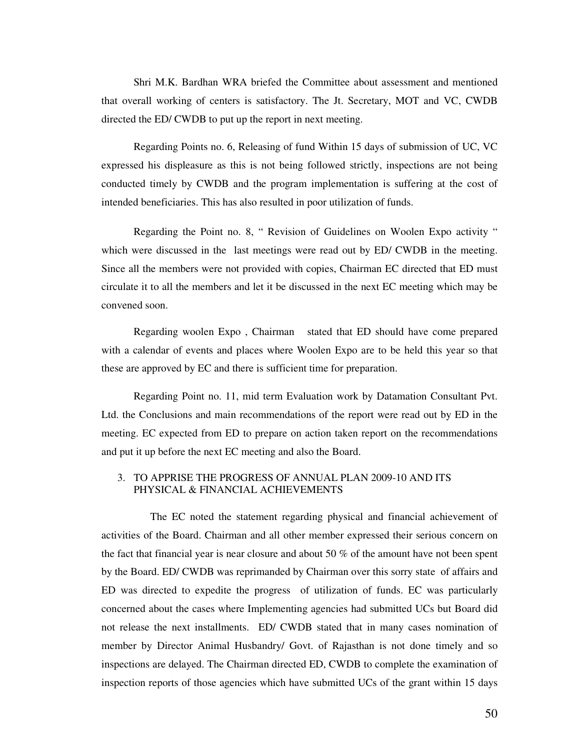Shri M.K. Bardhan WRA briefed the Committee about assessment and mentioned that overall working of centers is satisfactory. The Jt. Secretary, MOT and VC, CWDB directed the ED/ CWDB to put up the report in next meeting.

Regarding Points no. 6, Releasing of fund Within 15 days of submission of UC, VC expressed his displeasure as this is not being followed strictly, inspections are not being conducted timely by CWDB and the program implementation is suffering at the cost of intended beneficiaries. This has also resulted in poor utilization of funds.

Regarding the Point no. 8, " Revision of Guidelines on Woolen Expo activity " which were discussed in the last meetings were read out by ED/ CWDB in the meeting. Since all the members were not provided with copies, Chairman EC directed that ED must circulate it to all the members and let it be discussed in the next EC meeting which may be convened soon.

Regarding woolen Expo , Chairman stated that ED should have come prepared with a calendar of events and places where Woolen Expo are to be held this year so that these are approved by EC and there is sufficient time for preparation.

Regarding Point no. 11, mid term Evaluation work by Datamation Consultant Pvt. Ltd. the Conclusions and main recommendations of the report were read out by ED in the meeting. EC expected from ED to prepare on action taken report on the recommendations and put it up before the next EC meeting and also the Board.

### 3. TO APPRISE THE PROGRESS OF ANNUAL PLAN 2009-10 AND ITS PHYSICAL & FINANCIAL ACHIEVEMENTS

 The EC noted the statement regarding physical and financial achievement of activities of the Board. Chairman and all other member expressed their serious concern on the fact that financial year is near closure and about 50 % of the amount have not been spent by the Board. ED/ CWDB was reprimanded by Chairman over this sorry state of affairs and ED was directed to expedite the progress of utilization of funds. EC was particularly concerned about the cases where Implementing agencies had submitted UCs but Board did not release the next installments. ED/ CWDB stated that in many cases nomination of member by Director Animal Husbandry/ Govt. of Rajasthan is not done timely and so inspections are delayed. The Chairman directed ED, CWDB to complete the examination of inspection reports of those agencies which have submitted UCs of the grant within 15 days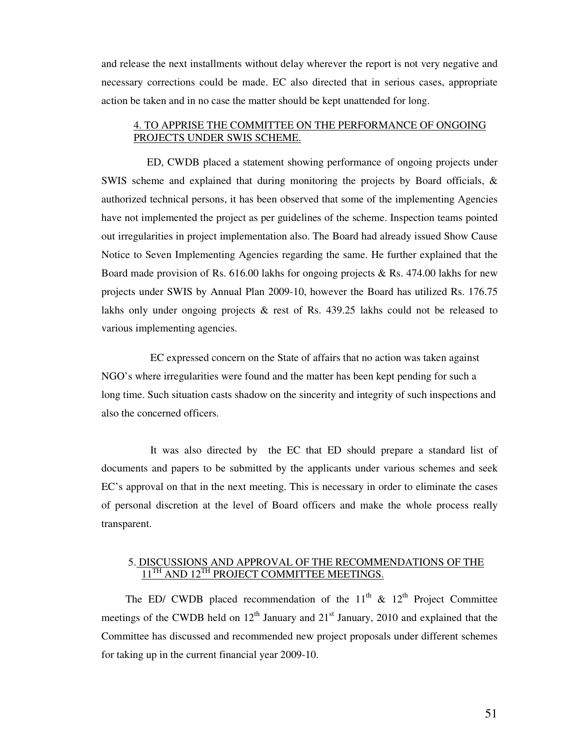and release the next installments without delay wherever the report is not very negative and necessary corrections could be made. EC also directed that in serious cases, appropriate action be taken and in no case the matter should be kept unattended for long.

### 4. TO APPRISE THE COMMITTEE ON THE PERFORMANCE OF ONGOING PROJECTS UNDER SWIS SCHEME.

 ED, CWDB placed a statement showing performance of ongoing projects under SWIS scheme and explained that during monitoring the projects by Board officials, & authorized technical persons, it has been observed that some of the implementing Agencies have not implemented the project as per guidelines of the scheme. Inspection teams pointed out irregularities in project implementation also. The Board had already issued Show Cause Notice to Seven Implementing Agencies regarding the same. He further explained that the Board made provision of Rs. 616.00 lakhs for ongoing projects & Rs. 474.00 lakhs for new projects under SWIS by Annual Plan 2009-10, however the Board has utilized Rs. 176.75 lakhs only under ongoing projects & rest of Rs. 439.25 lakhs could not be released to various implementing agencies.

 EC expressed concern on the State of affairs that no action was taken against NGO's where irregularities were found and the matter has been kept pending for such a long time. Such situation casts shadow on the sincerity and integrity of such inspections and also the concerned officers.

 It was also directed by the EC that ED should prepare a standard list of documents and papers to be submitted by the applicants under various schemes and seek EC's approval on that in the next meeting. This is necessary in order to eliminate the cases of personal discretion at the level of Board officers and make the whole process really transparent.

### 5. DISCUSSIONS AND APPROVAL OF THE RECOMMENDATIONS OF THE  $11^{TH}$  AND  $12^{TH}$  PROJECT COMMITTEE MEETINGS.

The ED/ CWDB placed recommendation of the  $11<sup>th</sup>$  &  $12<sup>th</sup>$  Project Committee meetings of the CWDB held on  $12<sup>th</sup>$  January and  $21<sup>st</sup>$  January, 2010 and explained that the Committee has discussed and recommended new project proposals under different schemes for taking up in the current financial year 2009-10.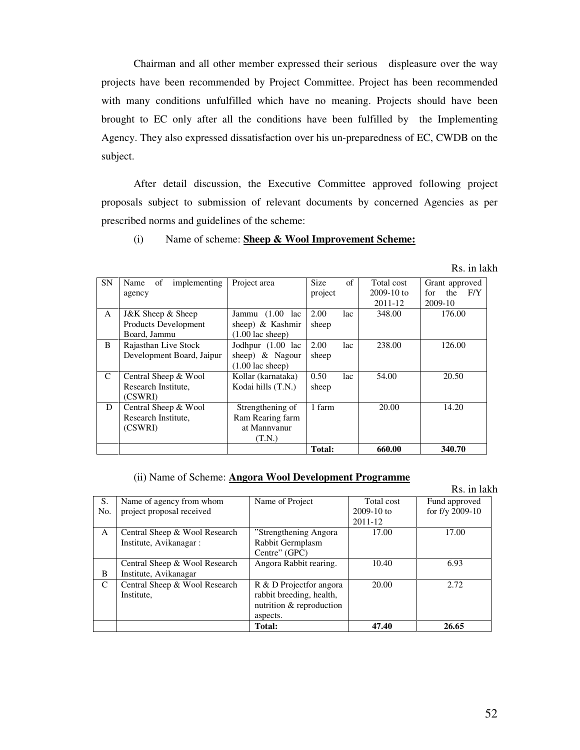Chairman and all other member expressed their serious displeasure over the way projects have been recommended by Project Committee. Project has been recommended with many conditions unfulfilled which have no meaning. Projects should have been brought to EC only after all the conditions have been fulfilled by the Implementing Agency. They also expressed dissatisfaction over his un-preparedness of EC, CWDB on the subject.

After detail discussion, the Executive Committee approved following project proposals subject to submission of relevant documents by concerned Agencies as per prescribed norms and guidelines of the scheme:

### (i) Name of scheme: **Sheep & Wool Improvement Scheme:**

Rs. in lakh

| <b>SN</b>    | Name<br>implementing<br>οf | Project area               | <b>Size</b> | of  | Total cost   | Grant approved    |
|--------------|----------------------------|----------------------------|-------------|-----|--------------|-------------------|
|              | agency                     |                            | project     |     | $2009-10$ to | F/Y<br>for<br>the |
|              |                            |                            |             |     | 2011-12      | 2009-10           |
| A            | J&K Sheep & Sheep          | (1.00)<br>Jammu<br>lac     | 2.00        | lac | 348.00       | 176.00            |
|              | Products Development       | sheep) & Kashmir           | sheep       |     |              |                   |
|              | Board, Jammu               | $(1.00 \text{ lac sheep})$ |             |     |              |                   |
| <sub>R</sub> | Rajasthan Live Stock       | Jodhpur (1.00 lac          | 2.00        | lac | 238.00       | 126.00            |
|              | Development Board, Jaipur  | sheep) $\&$ Nagour         | sheep       |     |              |                   |
|              |                            | $(1.00 \text{ lac sheep})$ |             |     |              |                   |
| C            | Central Sheep & Wool       | Kollar (karnataka)         | 0.50        | lac | 54.00        | 20.50             |
|              | Research Institute,        | Kodai hills (T.N.)         | sheep       |     |              |                   |
|              | (CSWRI)                    |                            |             |     |              |                   |
| D            | Central Sheep & Wool       | Strengthening of           | 1 farm      |     | 20.00        | 14.20             |
|              | Research Institute.        | Ram Rearing farm           |             |     |              |                   |
|              | (CSWRI)                    | at Mannyanur               |             |     |              |                   |
|              |                            | (T.N.)                     |             |     |              |                   |
|              |                            |                            | Total:      |     | 660.00       | 340.70            |

#### (ii) Name of Scheme: **Angora Wool Development Programme**

|     |                               |                          |                | Rs. in lakh     |
|-----|-------------------------------|--------------------------|----------------|-----------------|
| S.  | Name of agency from whom      | Name of Project          | Total cost     | Fund approved   |
| No. | project proposal received     |                          | $2009 - 10$ to | for f/y 2009-10 |
|     |                               |                          | 2011-12        |                 |
| A   | Central Sheep & Wool Research | "Strengthening Angora"   | 17.00          | 17.00           |
|     | Institute, Avikanagar:        | Rabbit Germplasm         |                |                 |
|     |                               | Centre" (GPC)            |                |                 |
|     | Central Sheep & Wool Research | Angora Rabbit rearing.   | 10.40          | 6.93            |
| B   | Institute, Avikanagar         |                          |                |                 |
| C   | Central Sheep & Wool Research | R & D Projectfor angora  | 20.00          | 2.72            |
|     | Institute,                    | rabbit breeding, health, |                |                 |
|     |                               | nutrition & reproduction |                |                 |
|     |                               | aspects.                 |                |                 |
|     |                               | Total:                   | 47.40          | 26.65           |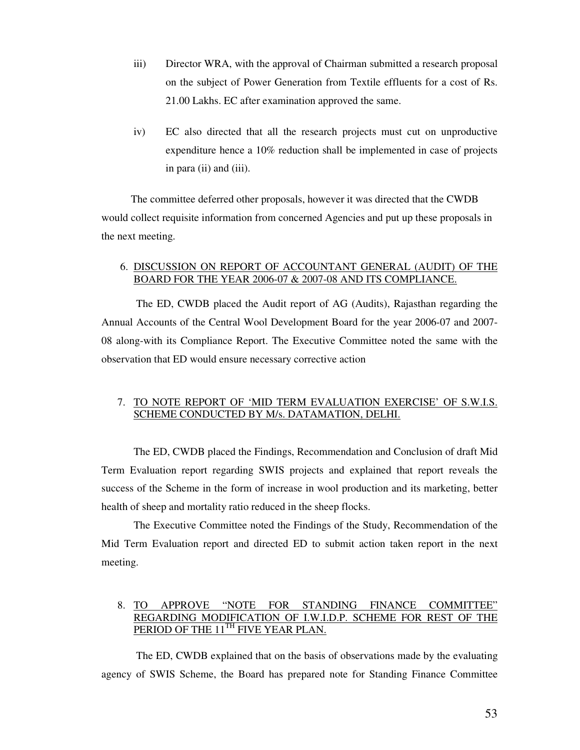- iii) Director WRA, with the approval of Chairman submitted a research proposal on the subject of Power Generation from Textile effluents for a cost of Rs. 21.00 Lakhs. EC after examination approved the same.
- iv) EC also directed that all the research projects must cut on unproductive expenditure hence a 10% reduction shall be implemented in case of projects in para (ii) and (iii).

 The committee deferred other proposals, however it was directed that the CWDB would collect requisite information from concerned Agencies and put up these proposals in the next meeting.

### 6. DISCUSSION ON REPORT OF ACCOUNTANT GENERAL (AUDIT) OF THE BOARD FOR THE YEAR 2006-07 & 2007-08 AND ITS COMPLIANCE.

 The ED, CWDB placed the Audit report of AG (Audits), Rajasthan regarding the Annual Accounts of the Central Wool Development Board for the year 2006-07 and 2007- 08 along-with its Compliance Report. The Executive Committee noted the same with the observation that ED would ensure necessary corrective action

### 7. TO NOTE REPORT OF 'MID TERM EVALUATION EXERCISE' OF S.W.I.S. SCHEME CONDUCTED BY M/s. DATAMATION, DELHI.

The ED, CWDB placed the Findings, Recommendation and Conclusion of draft Mid Term Evaluation report regarding SWIS projects and explained that report reveals the success of the Scheme in the form of increase in wool production and its marketing, better health of sheep and mortality ratio reduced in the sheep flocks.

The Executive Committee noted the Findings of the Study, Recommendation of the Mid Term Evaluation report and directed ED to submit action taken report in the next meeting.

### 8. TO APPROVE "NOTE FOR STANDING FINANCE COMMITTEE" REGARDING MODIFICATION OF I.W.I.D.P. SCHEME FOR REST OF THE PERIOD OF THE 11<sup>TH</sup> FIVE YEAR PLAN.

 The ED, CWDB explained that on the basis of observations made by the evaluating agency of SWIS Scheme, the Board has prepared note for Standing Finance Committee